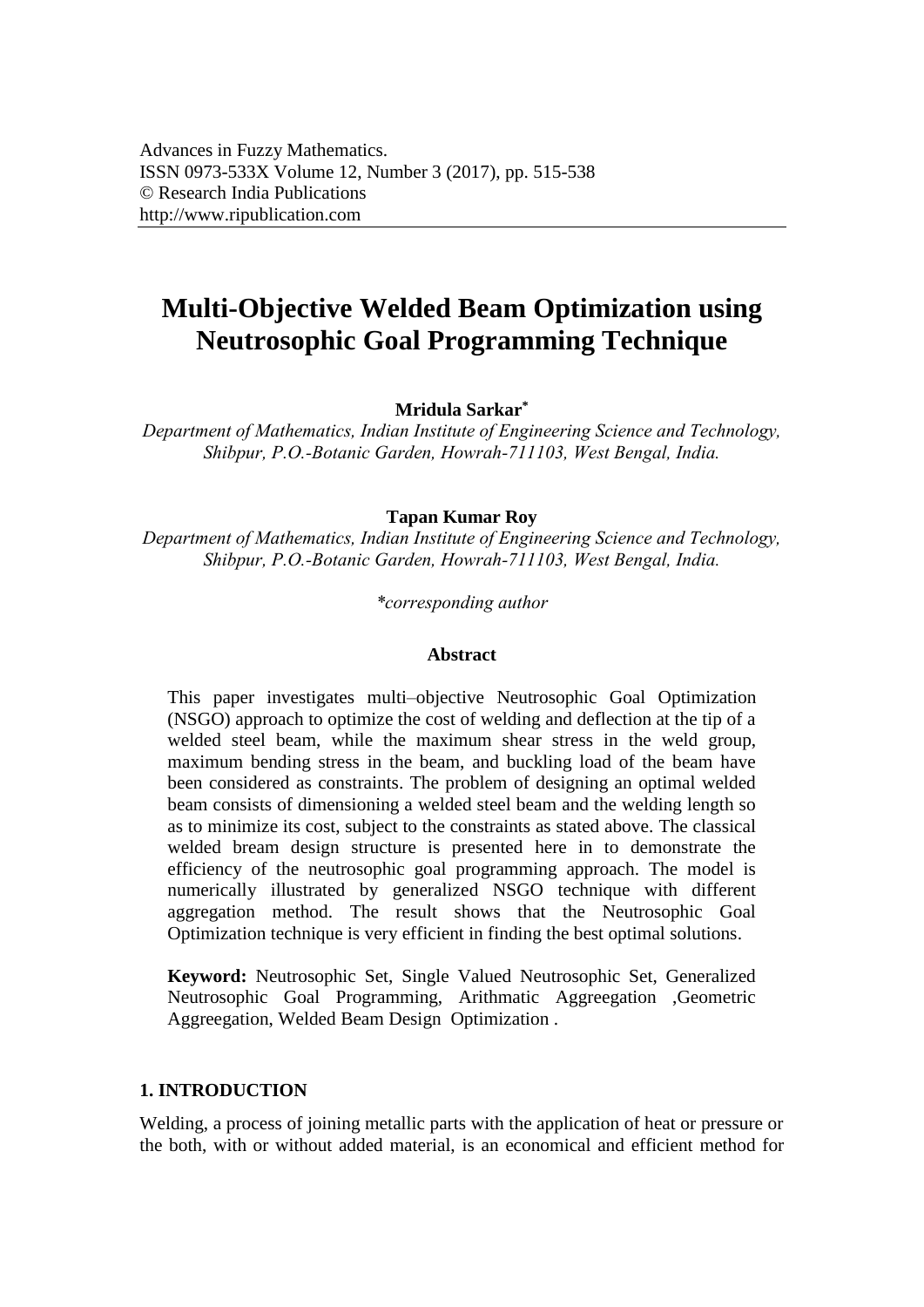# **Multi-Objective Welded Beam Optimization using Neutrosophic Goal Programming Technique**

**Mridula Sarkar\*** 

*Department of Mathematics, Indian Institute of Engineering Science and Technology, Shibpur, P.O.-Botanic Garden, Howrah-711103, West Bengal, India.* 

#### **Tapan Kumar Roy**

*Department of Mathematics, Indian Institute of Engineering Science and Technology, Shibpur, P.O.-Botanic Garden, Howrah-711103, West Bengal, India.* 

*\*corresponding author* 

#### **Abstract**

This paper investigates multi–objective Neutrosophic Goal Optimization (NSGO) approach to optimize the cost of welding and deflection at the tip of a welded steel beam, while the maximum shear stress in the weld group, maximum bending stress in the beam, and buckling load of the beam have been considered as constraints. The problem of designing an optimal welded beam consists of dimensioning a welded steel beam and the welding length so as to minimize its cost, subject to the constraints as stated above. The classical welded bream design structure is presented here in to demonstrate the efficiency of the neutrosophic goal programming approach. The model is numerically illustrated by generalized NSGO technique with different aggregation method. The result shows that the Neutrosophic Goal Optimization technique is very efficient in finding the best optimal solutions.

**Keyword:** Neutrosophic Set, Single Valued Neutrosophic Set, Generalized Neutrosophic Goal Programming, Arithmatic Aggreegation ,Geometric Aggreegation, Welded Beam Design Optimization .

#### **1. INTRODUCTION**

Welding, a process of joining metallic parts with the application of heat or pressure or the both, with or without added material, is an economical and efficient method for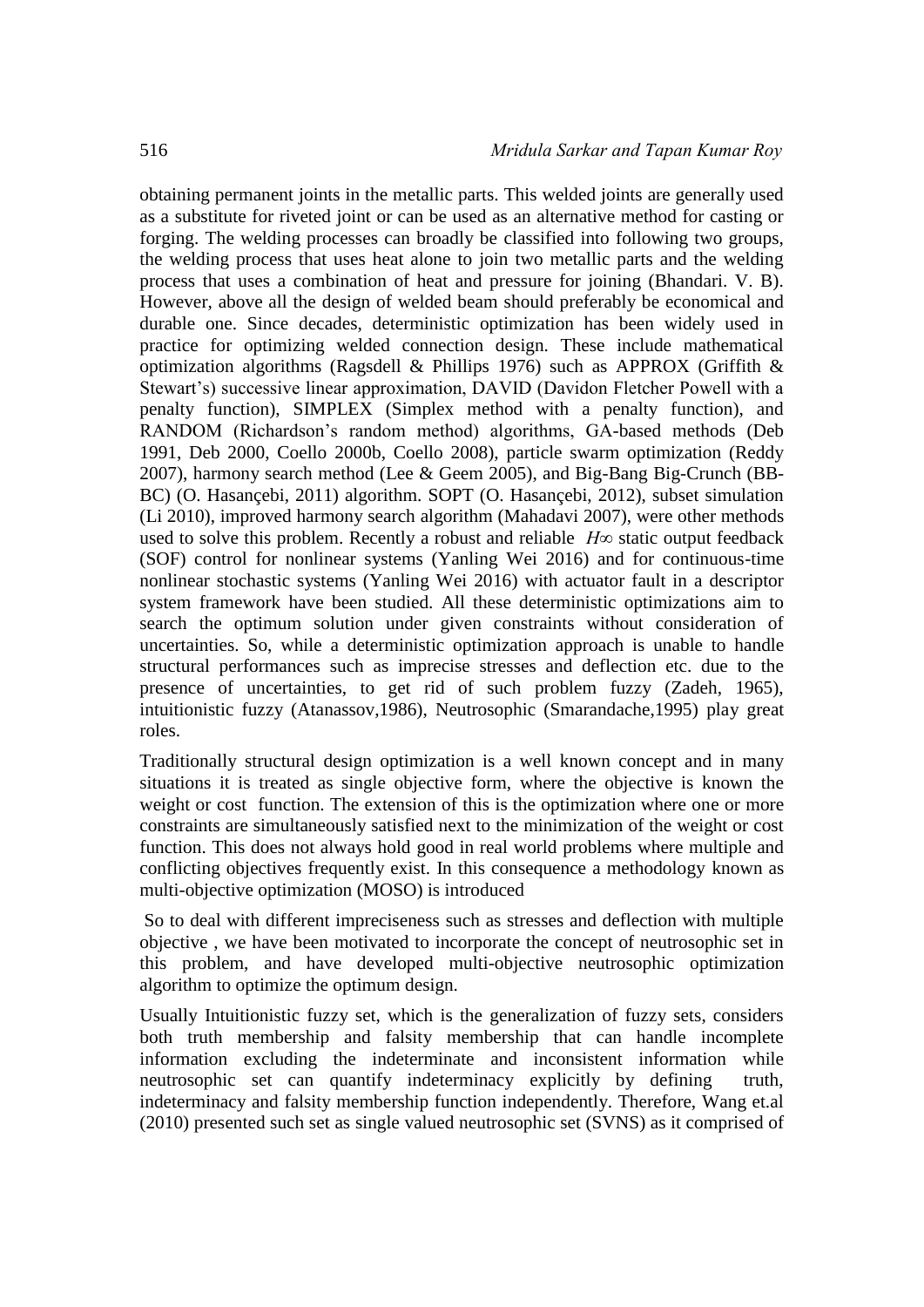obtaining permanent joints in the metallic parts. This welded joints are generally used as a substitute for riveted joint or can be used as an alternative method for casting or forging. The welding processes can broadly be classified into following two groups, the welding process that uses heat alone to join two metallic parts and the welding process that uses a combination of heat and pressure for joining (Bhandari. V. B). However, above all the design of welded beam should preferably be economical and durable one. Since decades, deterministic optimization has been widely used in practice for optimizing welded connection design. These include mathematical optimization algorithms (Ragsdell & Phillips 1976) such as APPROX (Griffith & Stewart's) successive linear approximation, DAVID (Davidon Fletcher Powell with a penalty function), SIMPLEX (Simplex method with a penalty function), and RANDOM (Richardson's random method) algorithms, GA-based methods (Deb 1991, Deb 2000, Coello 2000b, Coello 2008), particle swarm optimization (Reddy 2007), harmony search method (Lee & Geem 2005), and Big-Bang Big-Crunch (BB-BC) (O. Hasançebi, 2011) algorithm. SOPT (O. Hasançebi, 2012), subset simulation (Li 2010), improved harmony search algorithm (Mahadavi 2007), were other methods used to solve this problem. Recently a robust and reliable  $H\infty$  static output feedback (SOF) control for nonlinear systems (Yanling Wei 2016) and for continuous-time nonlinear stochastic systems (Yanling Wei 2016) with actuator fault in a descriptor system framework have been studied. All these deterministic optimizations aim to search the optimum solution under given constraints without consideration of uncertainties. So, while a deterministic optimization approach is unable to handle structural performances such as imprecise stresses and deflection etc. due to the presence of uncertainties, to get rid of such problem fuzzy (Zadeh, 1965), intuitionistic fuzzy (Atanassov,1986), Neutrosophic (Smarandache,1995) play great roles.

Traditionally structural design optimization is a well known concept and in many situations it is treated as single objective form, where the objective is known the weight or cost function. The extension of this is the optimization where one or more constraints are simultaneously satisfied next to the minimization of the weight or cost function. This does not always hold good in real world problems where multiple and conflicting objectives frequently exist. In this consequence a methodology known as multi-objective optimization (MOSO) is introduced

So to deal with different impreciseness such as stresses and deflection with multiple objective , we have been motivated to incorporate the concept of neutrosophic set in this problem, and have developed multi-objective neutrosophic optimization algorithm to optimize the optimum design.

Usually Intuitionistic fuzzy set, which is the generalization of fuzzy sets, considers both truth membership and falsity membership that can handle incomplete information excluding the indeterminate and inconsistent information while neutrosophic set can quantify indeterminacy explicitly by defining truth, indeterminacy and falsity membership function independently. Therefore, Wang et.al (2010) presented such set as single valued neutrosophic set (SVNS) as it comprised of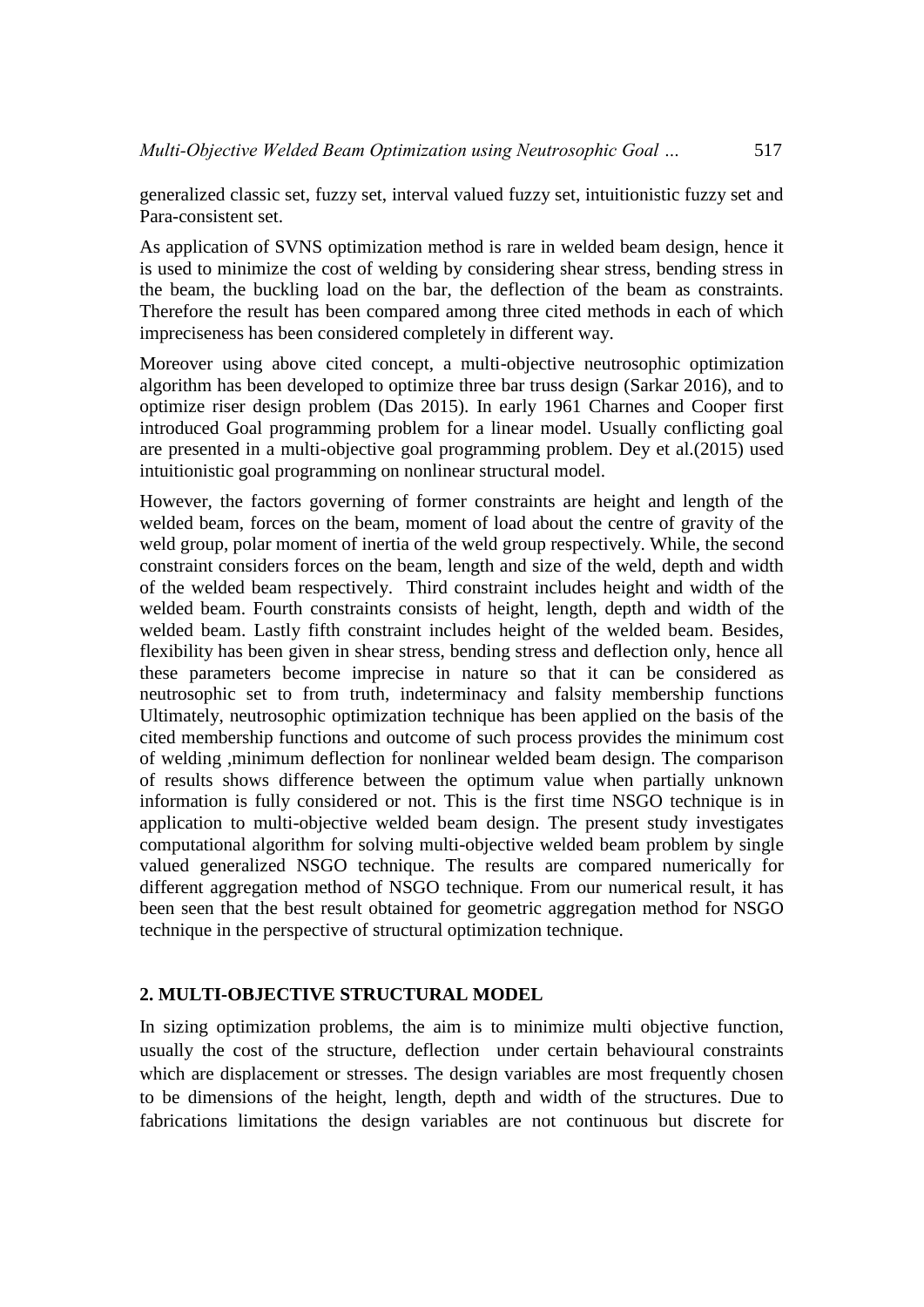generalized classic set, fuzzy set, interval valued fuzzy set, intuitionistic fuzzy set and Para-consistent set.

As application of SVNS optimization method is rare in welded beam design, hence it is used to minimize the cost of welding by considering shear stress, bending stress in the beam, the buckling load on the bar, the deflection of the beam as constraints. Therefore the result has been compared among three cited methods in each of which impreciseness has been considered completely in different way.

Moreover using above cited concept, a multi-objective neutrosophic optimization algorithm has been developed to optimize three bar truss design (Sarkar 2016), and to optimize riser design problem (Das 2015). In early 1961 Charnes and Cooper first introduced Goal programming problem for a linear model. Usually conflicting goal are presented in a multi-objective goal programming problem. Dey et al.(2015) used intuitionistic goal programming on nonlinear structural model.

However, the factors governing of former constraints are height and length of the welded beam, forces on the beam, moment of load about the centre of gravity of the weld group, polar moment of inertia of the weld group respectively. While, the second constraint considers forces on the beam, length and size of the weld, depth and width of the welded beam respectively. Third constraint includes height and width of the welded beam. Fourth constraints consists of height, length, depth and width of the welded beam. Lastly fifth constraint includes height of the welded beam. Besides, flexibility has been given in shear stress, bending stress and deflection only, hence all these parameters become imprecise in nature so that it can be considered as neutrosophic set to from truth, indeterminacy and falsity membership functions Ultimately, neutrosophic optimization technique has been applied on the basis of the cited membership functions and outcome of such process provides the minimum cost of welding ,minimum deflection for nonlinear welded beam design. The comparison of results shows difference between the optimum value when partially unknown information is fully considered or not. This is the first time NSGO technique is in application to multi-objective welded beam design. The present study investigates computational algorithm for solving multi-objective welded beam problem by single valued generalized NSGO technique. The results are compared numerically for different aggregation method of NSGO technique. From our numerical result, it has been seen that the best result obtained for geometric aggregation method for NSGO technique in the perspective of structural optimization technique.

#### **2. MULTI-OBJECTIVE STRUCTURAL MODEL**

In sizing optimization problems, the aim is to minimize multi objective function, usually the cost of the structure, deflection under certain behavioural constraints which are displacement or stresses. The design variables are most frequently chosen to be dimensions of the height, length, depth and width of the structures. Due to fabrications limitations the design variables are not continuous but discrete for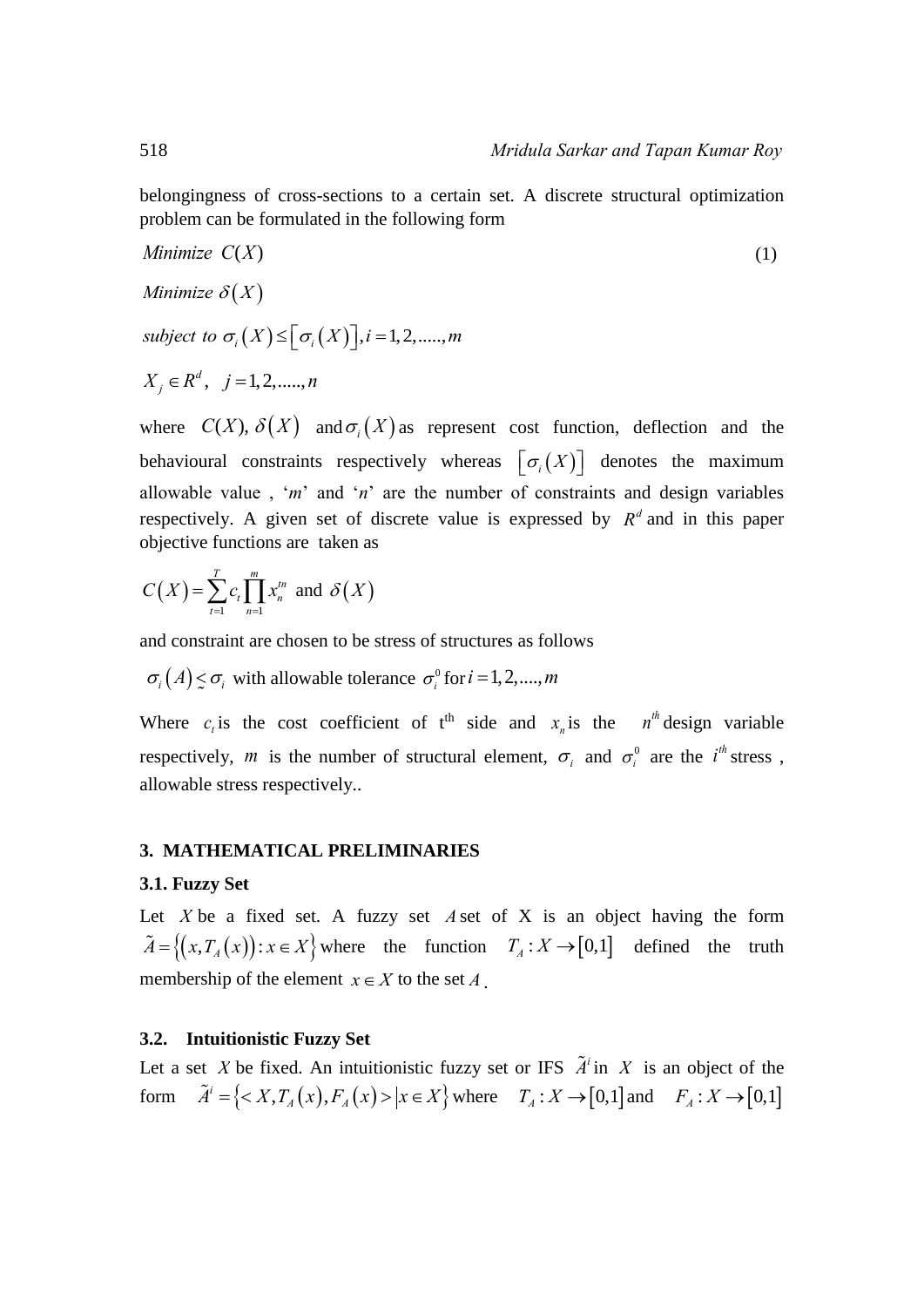belongingness of cross-sections to a certain set. A discrete structural optimization problem can be formulated in the following form

Minimize 
$$
C(X)
$$
  
\nMinimize  $\delta(X)$   
\nsubject to  $\sigma_i(X) \leq [\sigma_i(X)]$ ,  $i = 1, 2, \dots, m$   
\n $X_j \in R^d$ ,  $j = 1, 2, \dots, n$ 

where  $C(X)$ ,  $\delta(X)$  and  $\sigma_i(X)$  as represent cost function, deflection and the behavioural constraints respectively whereas  $\lfloor \sigma_i(X) \rfloor$  denotes the maximum allowable value , '*m*' and '*n*' are the number of constraints and design variables respectively. A given set of discrete value is expressed by  $R^d$  and in this paper objective functions are taken as

$$
C(X) = \sum_{t=1}^{T} c_t \prod_{n=1}^{m} x_n^{tn} \text{ and } \delta(X)
$$

and constraint are chosen to be stress of structures as follows

 $\sigma_i(A) \leq \sigma_i$  with allowable tolerance  $\sigma_i^0$  for  $i = 1, 2, ..., m$ 

Where  $c_i$  is the cost coefficient of t<sup>th</sup> side and  $x_n$  is the  $n^{th}$  design variable respectively, *m* is the number of structural element,  $\sigma_i$  and  $\sigma_i^0$  are the *i*<sup>th</sup> stress, allowable stress respectively..

#### **3. MATHEMATICAL PRELIMINARIES**

#### **3.1. Fuzzy Set**

Let  $X$  be a fixed set. A fuzzy set  $A$  set of  $X$  is an object having the form  $\tilde{A} = \{(x, T_A(x)) : x \in X\}$  where the function  $T_A : X \to [0,1]$  defined the truth membership of the element  $x \in X$  to the set  $A$ .

#### **3.2. Intuitionistic Fuzzy Set**

Let a set X be fixed. An intuitionistic fuzzy set or IFS  $\tilde{A}^i$  in X is an object of the Let a set *X* be fixed. An intuitionistic fuzzy set or IFS  $\tilde{A}^i$  in *X* is an object of the form  $\tilde{A}^i = \{< X, T_A(x), F_A(x)>\big| x \in X\}$  where  $T_A: X \to [0,1]$  and  $F_A: X \to [0,1]$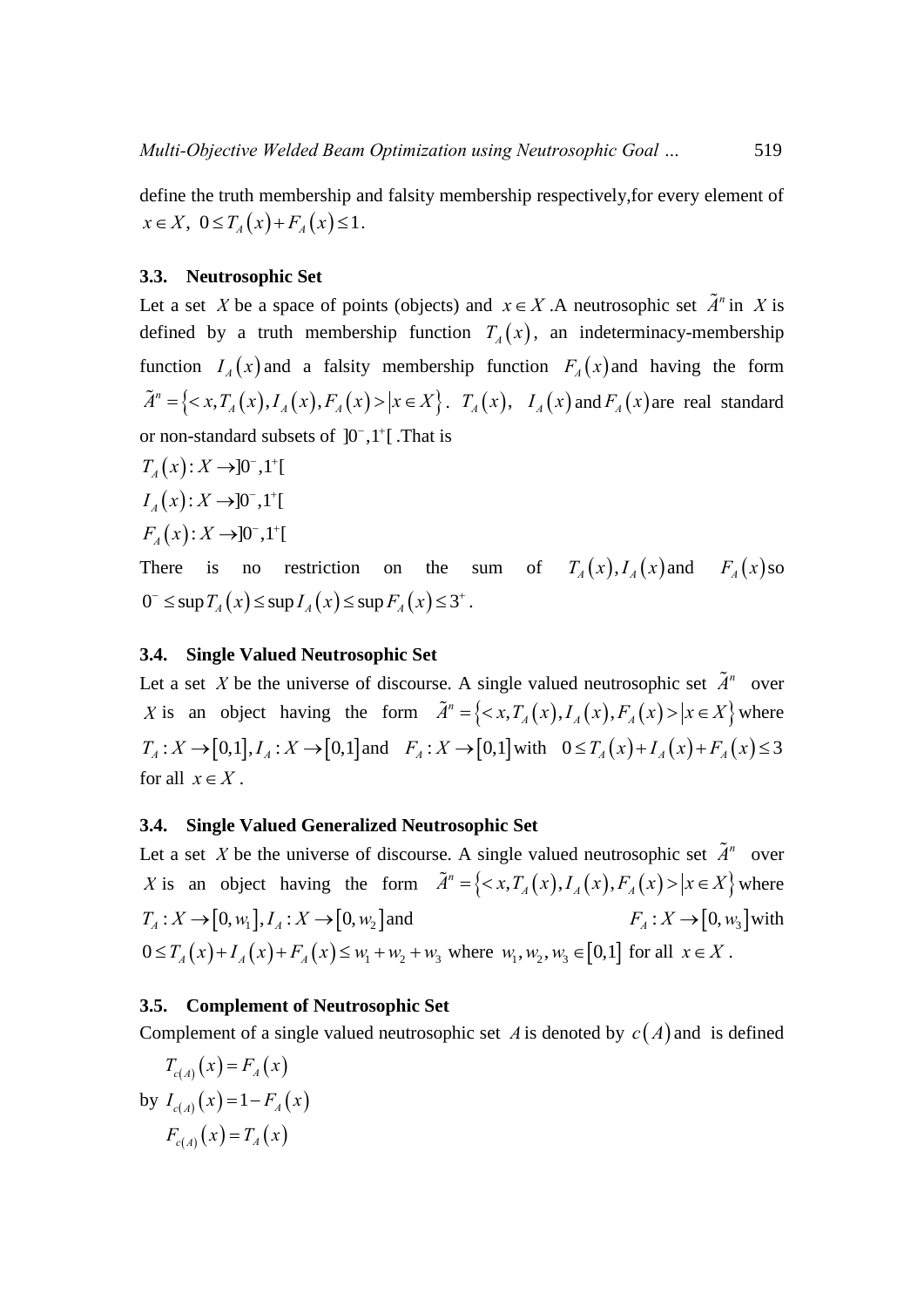define the truth membership and falsity membership respectively,for every element of  $x \in X$ ,  $0 \le T_A(x) + F_A(x) \le 1$ .

# **3.3. Neutrosophic Set**

Let a set X be a space of points (objects) and  $x \in X$ . A neutrosophic set  $\tilde{A}^n$  in X is defined by a truth membership function  $T_A(x)$ , an indeterminacy-membership function  $I_A(x)$  and a falsity membership function  $F_A(x)$  and having the form function  $I_A(x)$  and a falsity membership function  $F_A(x)$  and having the form  $\tilde{A}^n = \{ \langle x, T_A(x), I_A(x), F_A(x) \rangle | x \in X \}$ .  $T_A(x)$ ,  $I_A(x)$  and  $F_A(x)$  are real standard or non-standard subsets of  $]0^-,1^+[$ . That is

 $T_{4}(x)$ :  $X \rightarrow 0^{-}$ ,  $1^{+}$ [  $I_{4}(x): X \rightarrow 0^{-}, 1^{+}$  $F_{4}(x)$ :  $X \rightarrow 0^{-}$ , 1<sup>+</sup>[

There is no restriction  $T_A(x)$ ,  $I_A(x)$  and  $F_A(x)$  so There is no restriction on the sum<br>  $0^- \le \sup T_A(x) \le \sup I_A(x) \le \sup F_A(x) \le 3^+$ .

# **3.4. Single Valued Neutrosophic Set**

Let a set *X* be the universe of discourse. A single valued neutrosophic set  $\tilde{A}^n$  over *X* is an object having the form  $\tilde{A}^n = \{ \langle x, T_A(x), I_A(x), F_A(x) \rangle | x \in X \}$  where Let a set *X* be the universe of discourse. A single valued neutrosophic set  $A^n$  over <br>*X* is an object having the form  $\tilde{A}^n = \{ \langle x, T_A(x), I_A(x), F_A(x) \rangle | x \in X \}$  where *T<sub>A</sub>*:  $X \to [0,1], I_A : X \to [0,1]$  and  $F_A : X \to [0,1]$  with  $0 \le T_A(x) + T_A(x) + F_A(x) \le 3$ for all  $x \in X$ .

# **3.4. Single Valued Generalized Neutrosophic Set**

Let a set X be the universe of discourse. A single valued neutrosophic set  $\tilde{A}^n$  over Let a set X be the universe of discourse. A single valued neutrosophic set  $\tilde{A}^n$  over X is an object having the form  $\tilde{A}^n = \{ \langle x, T_A(x), I_A(x), F_A(x) \rangle | x \in X \}$  where X is an object having the form<br> $T_A: X \to [0, w_1], I_A: X \to [0, w_2]$  and  $F_A: X \to [0, w_3]$  with  $T_A: X \to [0, w_1], I_A: X \to [0, w_2]$  and<br>  $0 \le T_A(x) + I_A(x) + F_A(x) \le w_1 + w_2 + w_3$  where  $w_1, w_2, w_3 \in [0,1]$  for all  $x \in X$ .

#### **3.5. Complement of Neutrosophic Set**

Complement of a single valued neutrosophic set A is denoted by  $c(A)$  and is defined

$$
T_{c(A)}(x) = F_A(x)
$$
  
by  $I_{c(A)}(x) = 1 - F_A(x)$   
 $F_{c(A)}(x) = T_A(x)$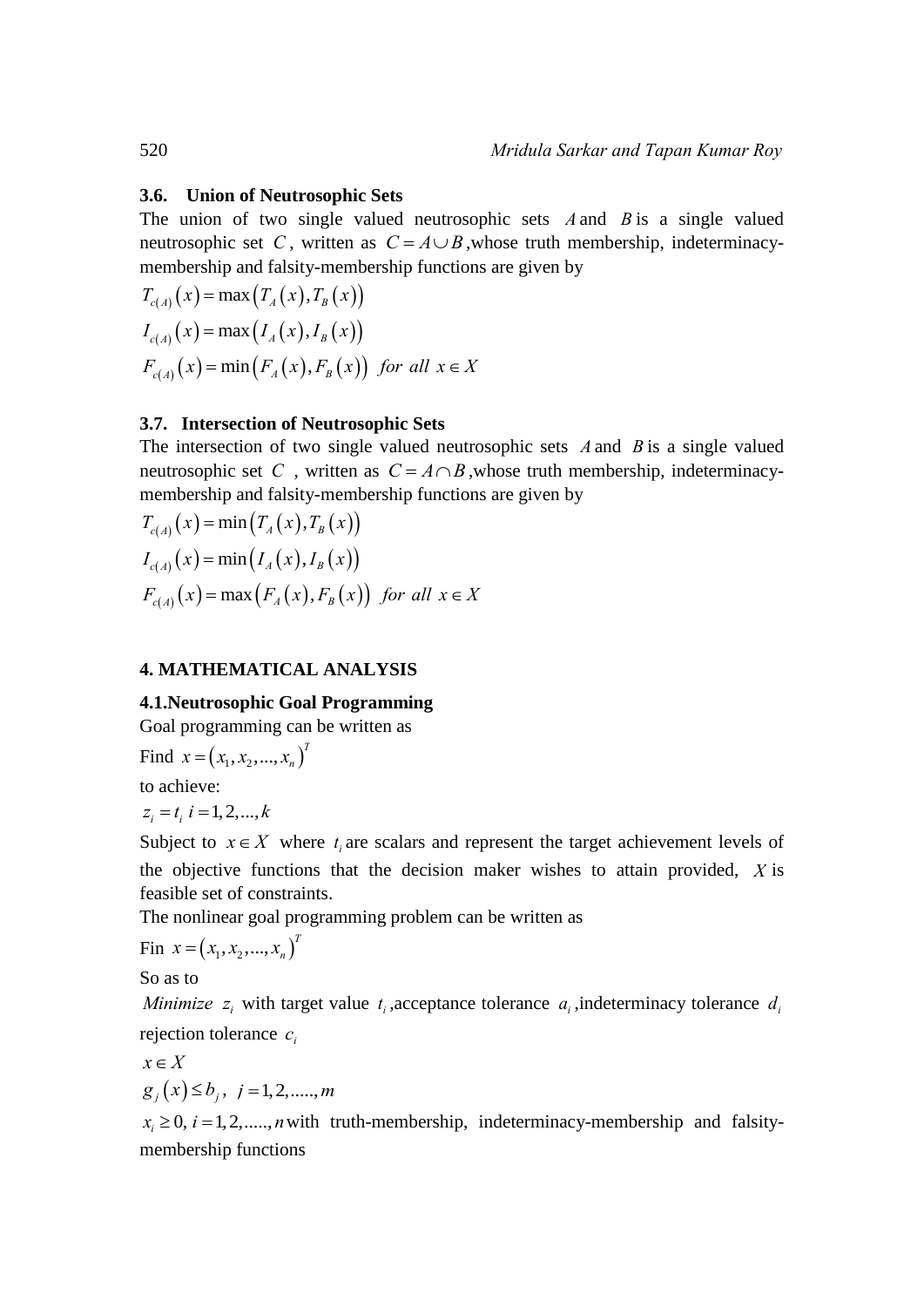#### **3.6. Union of Neutrosophic Sets**

The union of two single valued neutrosophic sets  $A$  and  $B$  is a single valued neutrosophic set C, written as  $C = A \cup B$ , whose truth membership, indeterminacymembership and falsity-membership functions are given by meutrosophic set *C*, written as *C* = *A*<br>membership and falsity-membership fi<br> $T_{c(A)}(x) = \max(T_A(x), T_B(x))$ 

$$
T_{c(A)}(x) = \max(T_A(x), T_B(x))
$$
  
\n
$$
I_{c(A)}(x) = \max(I_A(x), I_B(x))
$$
  
\n
$$
F_{c(A)}(x) = \min(F_A(x), F_B(x)) \text{ for all } x \in X
$$

#### **3.7. Intersection of Neutrosophic Sets**

The intersection of two single valued neutrosophic sets  $A$  and  $B$  is a single valued neutrosophic set C, written as  $C = A \cap B$ , whose truth membership, indeterminacymembership and falsity-membership functions are given by meutrosophic set *C*, written as *C* = *i*<br>membership and falsity-membership f<br> $T_{c(A)}(x) = \min(T_A(x), T_B(x))$ 

$$
T_{c(A)}(x) = \min(T_A(x), T_B(x))
$$
  
\n
$$
I_{c(A)}(x) = \min(I_A(x), I_B(x))
$$
  
\n
$$
F_{c(A)}(x) = \max(F_A(x), F_B(x)) \text{ for all } x \in X
$$

#### **4. MATHEMATICAL ANALYSIS**

# **4.1.Neutrosophic Goal Programming**

Goal programming can be written as

Find 
$$
x = (x_1, x_2, ..., x_n)^T
$$

to achieve:

 $z_i = t_i$ ,  $i = 1, 2, \dots, k$ 

Subject to  $x \in X$  where  $t_i$  are scalars and represent the target achievement levels of the objective functions that the decision maker wishes to attain provided, *X* is feasible set of constraints.

The nonlinear goal programming problem can be written as

$$
Fin x = (x_1, x_2, ..., x_n)^T
$$

So as to

*Minimize*  $z_i$  with target value  $t_i$ , acceptance tolerance  $a_i$ , indeterminacy tolerance  $d_i$ rejection tolerance  $c_i$ 

$$
x \in X
$$
  
 
$$
g_i(x) \le b_i, \quad i = 1, 2, \dots, m
$$

 $x_i \geq 0$ ,  $i = 1, 2, \dots, n$  with truth-membership, indeterminacy-membership and falsitymembership functions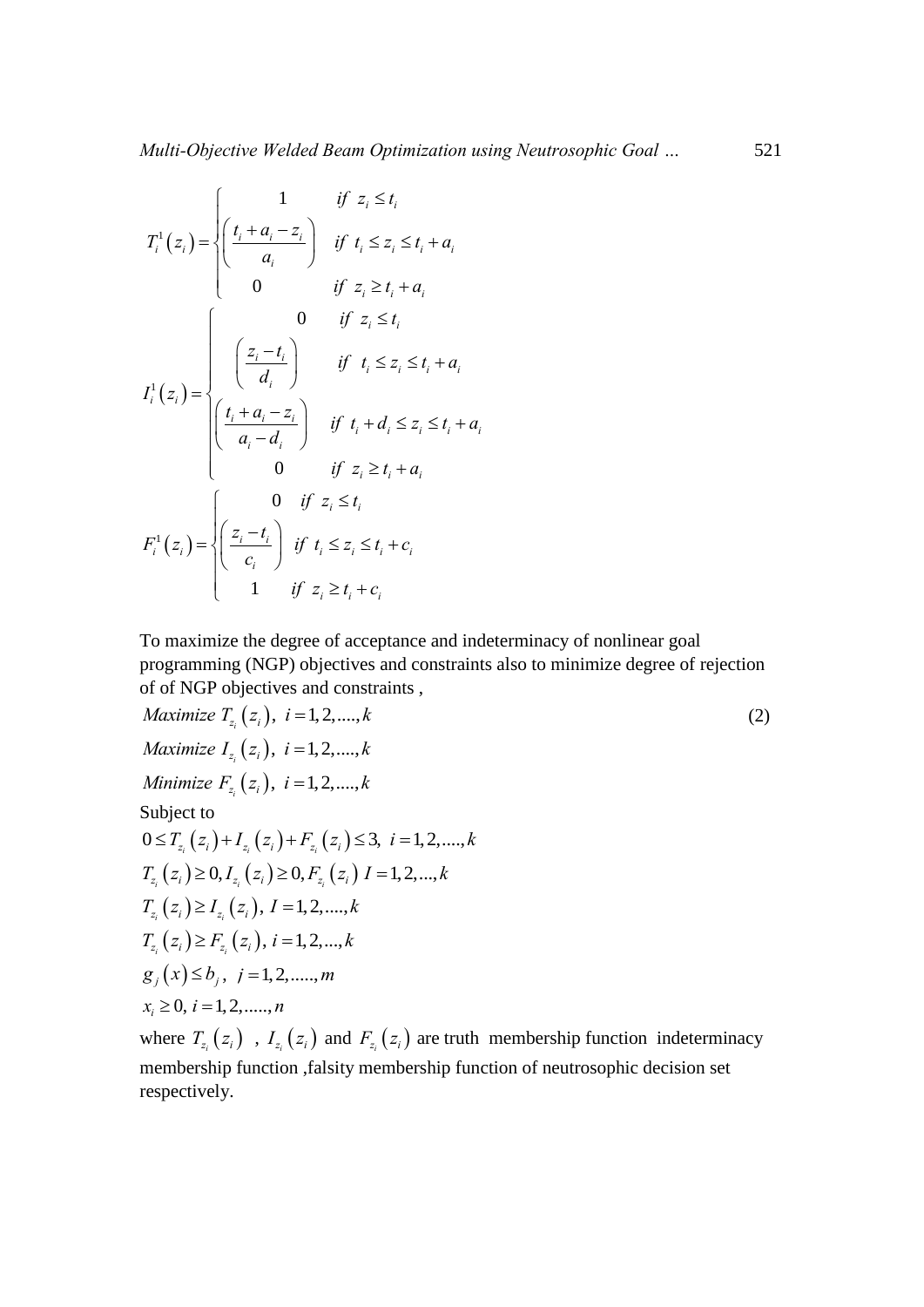$$
T_i^1(z_i) = \begin{cases} \frac{1}{t_i + a_i - z_i} & \text{if } z_i \le t_i \\ \frac{a_i}{a_i} & \text{if } t_i \le z_i \le t_i + a_i \\ 0 & \text{if } z_i \ge t_i + a_i \end{cases}
$$

$$
I_i^1(z_i) = \begin{cases} 0 & \text{if } z_i \le t_i \\ \frac{z_i - t_i}{d_i} & \text{if } t_i \le z_i \le t_i + a_i \\ \frac{t_i + a_i - z_i}{a_i - d_i} & \text{if } t_i + d_i \le z_i \le t_i + a_i \\ 0 & \text{if } z_i \ge t_i + a_i \\ 0 & \text{if } z_i \ge t_i + a_i \end{cases}
$$

$$
F_i^1(z_i) = \begin{cases} 0 & \text{if } z_i \le t_i \\ \frac{z_i - t_i}{c_i} & \text{if } t_i \le z_i \le t_i + c_i \\ 1 & \text{if } z_i \ge t_i + c_i \end{cases}
$$

To maximize the degree of acceptance and indeterminacy of nonlinear goal programming (NGP) objectives and constraints also to minimize degree of rejection

of of NGP objectives and constraints,  
\nMaximize 
$$
T_{z_i}(z_i)
$$
,  $i = 1, 2, ..., k$   
\nMaximize  $I_{z_i}(z_i)$ ,  $i = 1, 2, ..., k$   
\nMinimize  $F_{z_i}(z_i)$ ,  $i = 1, 2, ..., k$   
\nSubject to  
\n $0 \le T_{z_i}(z_i) + I_{z_i}(z_i) + F_{z_i}(z_i) \le 3$ ,  $i = 1, 2, ..., k$   
\n $T_{z_i}(z_i) \ge 0, I_{z_i}(z_i) \ge 0, F_{z_i}(z_i) I = 1, 2, ..., k$   
\n $T_{z_i}(z_i) \ge I_{z_i}(z_i)$ ,  $I = 1, 2, ..., k$   
\n $T_{z_i}(z_i) \ge F_{z_i}(z_i)$ ,  $i = 1, 2, ..., k$   
\n $g_j(x) \le b_j$ ,  $j = 1, 2, ..., m$   
\n $x_i \ge 0$ ,  $i = 1, 2, ..., n$   
\nwhere  $T_{z_i}(z_i)$ ,  $I_{z_i}(z_i)$  and  $F_{z_i}(z_i)$  are truth membership function indeterminacy

*i i i*  $F_{z_i}$   $(z_i$ membership function ,falsity membership function of neutrosophic decision set respectively.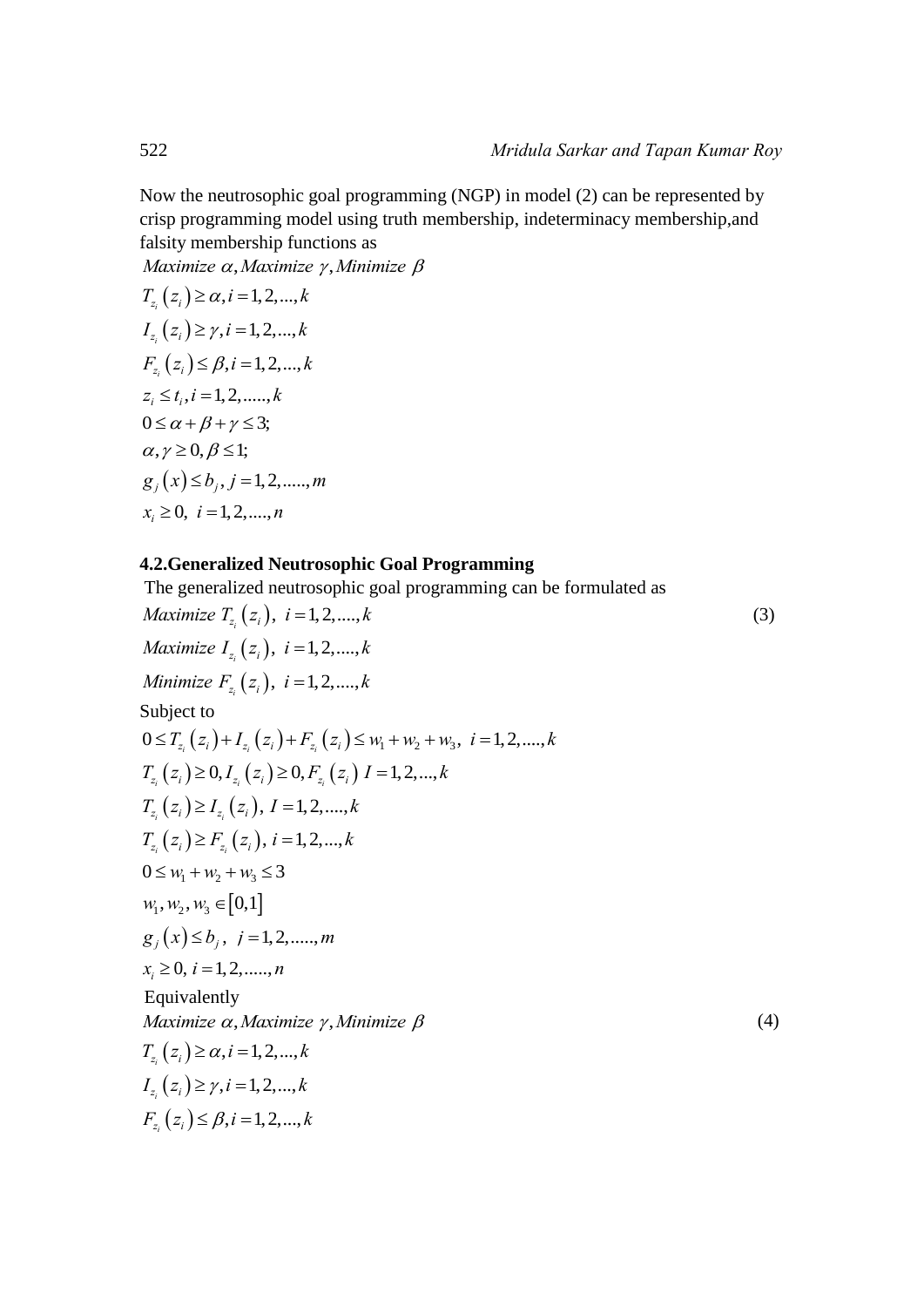Now the neutrosophic goal programming (NGP) in model (2) can be represented by crisp programming model using truth membership, indeterminacy membership,and falsity membership functions as

 $Maximize \alpha, Maximize \gamma, Minimize \beta$ 

 $T_{z_i}(z_i) \ge \alpha, i = 1, 2, ..., k$  $I_{z_i}(z_i) \ge \gamma, i = 1, 2, ..., k$  $F_{z_i}(z_i) \leq \beta, i = 1, 2, ..., k$  $z_i \le t_i, i = 1,2,......,k$  $0 \leq \alpha + \beta + \gamma \leq 3$ ;  $\alpha, \gamma \ge 0, \beta \le 1;$ <br> $g_i(x) \le b_i, j = 1,2,......, m$  $x_i \geq 0, i = 1,2,...,n$ 

#### **4.2.Generalized Neutrosophic Goal Programming**

The generalized neutrosophic goal programming can be formulated as The generalized neutrosophic goal programming can be formulated as *Maximize T*<sub> $z_i$ </sub> ( $z_i$ ),  $i = 1, 2, ..., k$  (3) *Maximize*  $I_{z_i}(z_i)$ ,  $i = 1, 2, ..., k$ <br>*Maximize*  $I_{z_i}(z_i)$ ,  $i = 1, 2, ..., k$ *Maximize*  $I_{z_i}(z_i)$ ,  $i = 1,2,...,k$ <br>*Minimize*  $F_{z_i}(z_i)$ ,  $i = 1,2,...,k$ Subject to *Minimize*  $F_{z_i}(z_i)$ ,  $i = 1,2,...,k$ <br>
Subject to<br>  $0 \le T_{z_i}(z_i) + I_{z_i}(z_i) + F_{z_i}(z_i) \le w_1 + w_2 + w_3$ ,  $i = 1,2,...,k$ the time  $T_{z_i}(z_i)$ ,  $i = 1, 2, ..., n$ <br>  $\Delta$ <br>  $\Delta T_{z_i}(z_i) + I_{z_i}(z_i) + F_{z_i}(z_i) \leq w_1 + w_2 + w_3, i = 1, 2, ..., k$ <br>  $T_{z_i}(z_i) \geq 0, I_{z_i}(z_i) \geq 0, F_{z_i}(z_i) \geq 1, 2, ..., k$  $\frac{i}{i}$  *i i j*  $\frac{2i}{i}$  *i i j*  $\frac{2i}{i}$  $0 \le T_{z_i}(z_i) + I_{z_i}(z_i) + F_{z_i}(z_i) \le W_1 + W_2 + W_3, i =$ <br>  $T_{z_i}(z_i) \ge 0, I_{z_i}(z_i) \ge 0, F_{z_i}(z_i) \ge 1,2,...,k$ <br>  $T_{z_i}(z_i) \ge I_{z_i}(z_i), I = 1,2,...,k$  $\sum_{i}$   $\binom{2}{i}$   $\leq$   $I_{z_i}$   $\binom{3}{i}$  $T_{z_i}(z_i) \ge I_{z_i}(z_i), I = 1,2,...,k$ <br>  $T_{z_i}(z_i) \ge F_{z_i}(z_i), i = 1,2,...,k$  $T_{z_i}(z_i) \geq F_{z_i}(z_i), i = 1, 2, ..., k$  $0 \leq w_1 + w_2 + w_3 \leq 3$  $w_1, w_2, w_3 \in [0,1]$  $g_i(x) \leq b_i$ ,  $j = 1, 2, \dots, m$  $x_i \geq 0, i = 1, 2, \dots, n$ Equivalently  $Maximize \alpha, Maximize \gamma, Minimize \beta$  (4)  $T_{z_i}(z_i) \ge \alpha, i = 1, 2, ..., k$  $I_{z_i}(z_i) \ge \gamma, i = 1, 2, ..., k$  $F_{z_i}(z_i) \leq \beta, i = 1, 2, ..., k$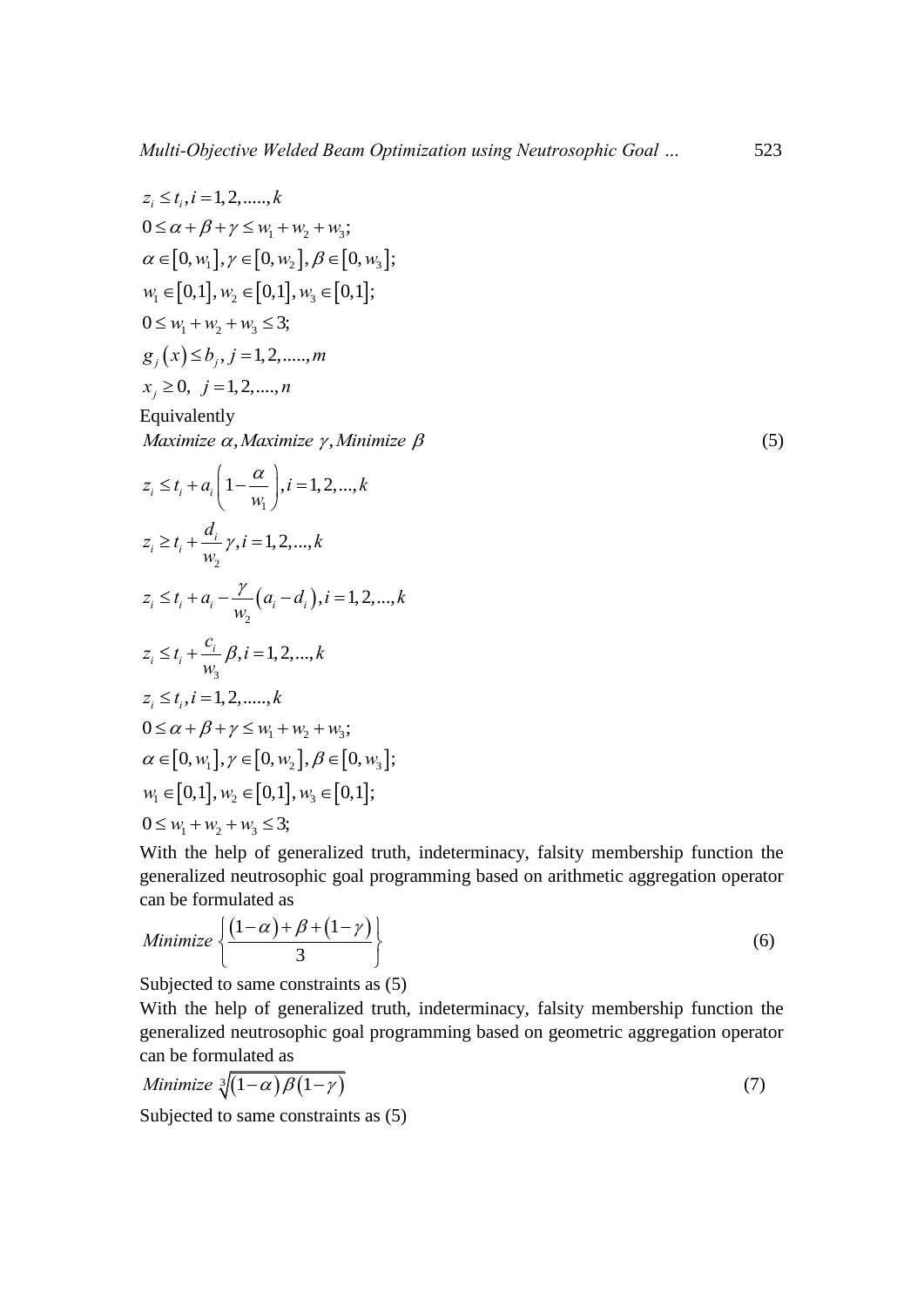$$
z_{i} \leq t_{i}, i = 1, 2, \dots, k
$$
  
\n
$$
0 \leq \alpha + \beta + \gamma \leq w_{1} + w_{2} + w_{3};
$$
  
\n
$$
\alpha \in [0, w_{1}], \gamma \in [0, w_{2}], \beta \in [0, w_{3}];
$$
  
\n
$$
w_{i} \in [0, 1], w_{2} \in [0, 1], w_{3} \in [0, 1];
$$
  
\n
$$
0 \leq w_{i} + w_{2} + w_{3} \leq 3;
$$
  
\n
$$
g_{j}(x) \leq b_{j}, j = 1, 2, \dots, m
$$
  
\nEquivalently  
\nMaximize  $\alpha$ , Maximize  $\gamma$ , Minimize  $\beta$   
\n
$$
z_{i} \leq t_{i} + a_{i} \left( 1 - \frac{\alpha}{w_{i}} \right), i = 1, 2, \dots, k
$$
  
\n
$$
z_{i} \geq t_{i} + \frac{d_{i}}{w_{2}} \gamma, i = 1, 2, \dots, k
$$
  
\n
$$
z_{i} \leq t_{i} + a_{i} - \frac{\gamma}{w_{2}} (a_{i} - d_{i}), i = 1, 2, \dots, k
$$
  
\n
$$
z_{i} \leq t_{i} + \frac{c_{i}}{w_{3}} \beta, i = 1, 2, \dots, k
$$
  
\n
$$
z_{i} \leq t_{i}, i = 1, 2, \dots, k
$$
  
\n
$$
0 \leq \alpha + \beta + \gamma \leq w_{1} + w_{2} + w_{3};
$$
  
\n
$$
\alpha \in [0, w_{1}], \gamma \in [0, w_{2}], \beta \in [0, w_{3}];
$$
  
\n
$$
w_{1} \in [0, 1], w_{2} \in [0, 1], w_{3} \in [0, 1];
$$
  
\n
$$
0 \leq w_{1} + w_{2} + w_{3} \leq 3;
$$

 $(5)$ 

With the help of generalized truth, indeterminacy, falsity membership function the generalized neutrosophic goal programming based on arithmetic aggregation operator

can be formulated as  
\nMinimize 
$$
\left\{ \frac{(1-\alpha)+\beta+(1-\gamma)}{3} \right\}
$$
 (6)

Subjected to same constraints as (5)

With the help of generalized truth, indeterminacy, falsity membership function the generalized neutrosophic goal programming based on geometric aggregation operator can be formulated as

can be formulated as  
*Minimize* 
$$
\sqrt[3]{(1-\alpha)\beta(1-\gamma)}
$$
 (7)

Subjected to same constraints as (5)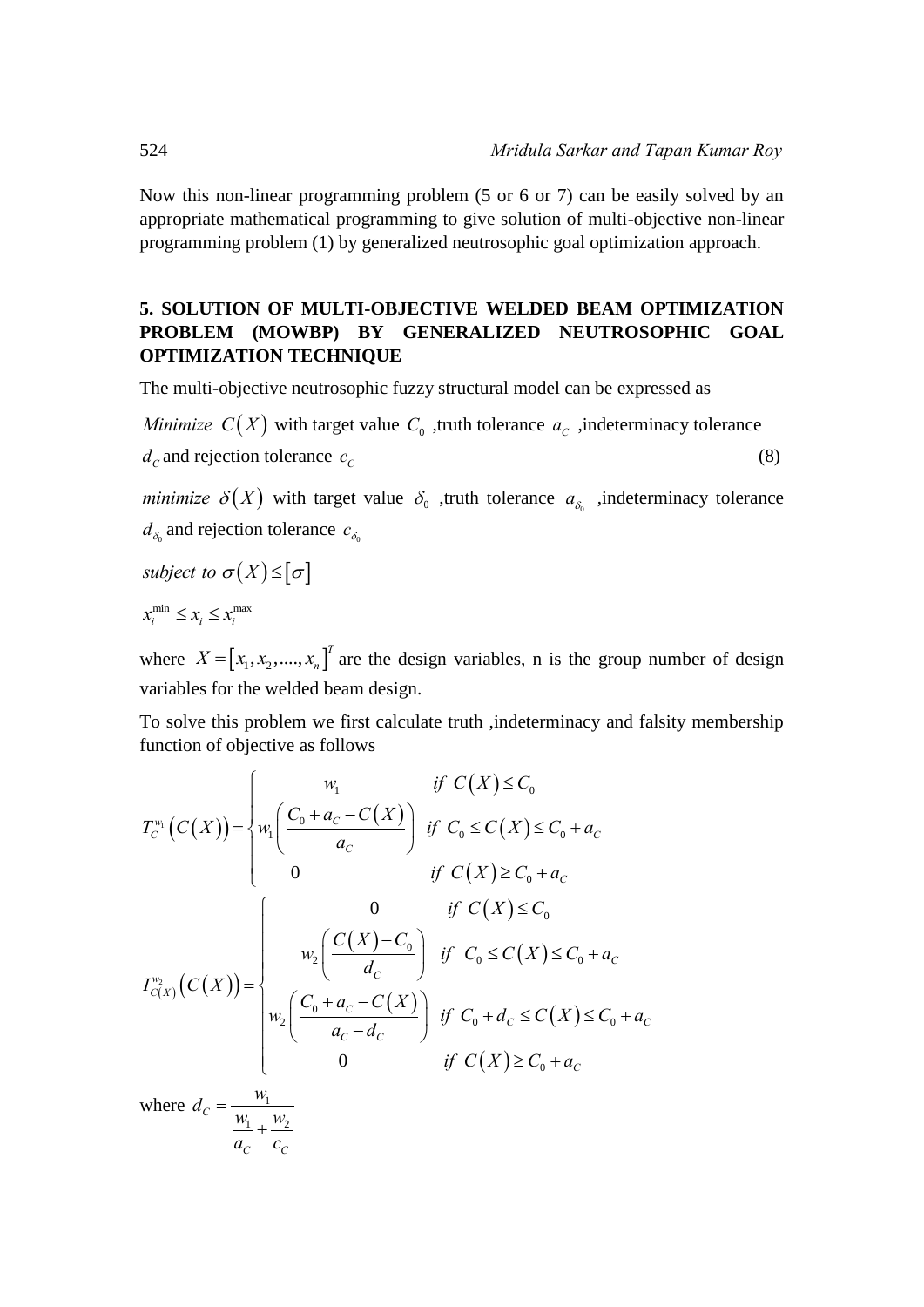Now this non-linear programming problem (5 or 6 or 7) can be easily solved by an appropriate mathematical programming to give solution of multi-objective non-linear programming problem (1) by generalized neutrosophic goal optimization approach.

# **5. SOLUTION OF MULTI-OBJECTIVE WELDED BEAM OPTIMIZATION PROBLEM (MOWBP) BY GENERALIZED NEUTROSOPHIC GOAL OPTIMIZATION TECHNIQUE**

The multi-objective neutrosophic fuzzy structural model can be expressed as

*Minimize*  $C(X)$  with target value  $C_0$ , truth tolerance  $a_C$ , indeterminacy tolerance  $d_c$  and rejection tolerance  $c_c$ (8)

*minimize*  $\delta(X)$  with target value  $\delta_0$  , truth tolerance  $a_{\delta_0}$  , indeterminacy tolerance  $d_{\delta_0}$  and rejection tolerance  $c_{\delta_0}$ 

*subject to*  $\sigma(X) \leq [\sigma]$ 

 $x_i^{\min} \leq x_i \leq x_i^{\max}$ 

where  $X = [x_1, x_2, ..., x_n]^T$  are the design variables, n is the group number of design variables for the welded beam design.

To solve this problem we first calculate truth ,indeterminacy and falsity membership<br>function of objective as follows<br> $\begin{cases}\nw_1 & \text{if } C(X) \leq C_0\n\end{cases}$ 

function of objective as follows  
\n
$$
T_c^{w_1}(C(X)) = \begin{cases} w_1 & \text{if } C(X) \leq C_0 \\ w_1 \left( \frac{C_0 + a_C - C(X)}{a_C} \right) & \text{if } C_0 \leq C(X) \leq C_0 + a_C \\ 0 & \text{if } C(X) \geq C_0 + a_C \end{cases}
$$
\n
$$
I_{C(X)}^{w_2}(C(X)) = \begin{cases} 0 & \text{if } C(X) \leq C_0 \\ w_2 \left( \frac{C(X) - C_0}{d_C} \right) & \text{if } C_0 \leq C(X) \leq C_0 + a_C \\ w_2 \left( \frac{C_0 + a_C - C(X)}{a_C - d_C} \right) & \text{if } C_0 + d_C \leq C(X) \leq C_0 + a_C \\ 0 & \text{if } C(X) \geq C_0 + a_C \end{cases}
$$

where  $d_c = \frac{w_1}{w_2}$  $c = w_1 + w_2$  $\mathcal{C}$   $\mathcal{C}$  $d_C = \frac{w_1}{w_1 + w_2}$  $a_C \quad c_C$  $=$  $\overline{+}$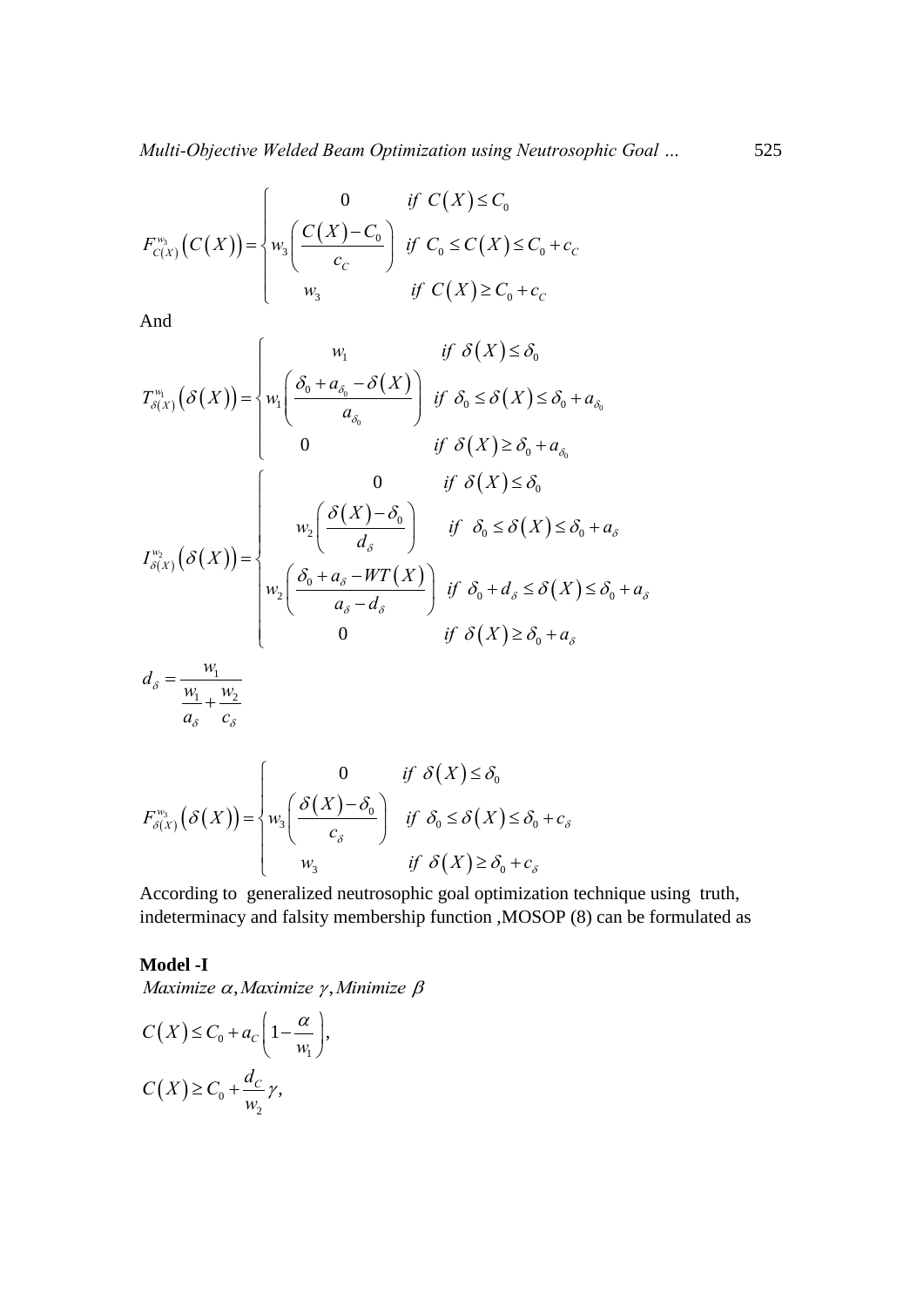Multi-Objective Welded Beam Optimization using Neutrosophic Go

\n
$$
F_{c(X)}^{w_3}\left(C(X)\right) = \begin{cases} 0 & \text{if } C(X) \leq C_0 \\ w_3 \left(\frac{C(X) - C_0}{c_C}\right) & \text{if } C_0 \leq C(X) \leq C_0 + c_C \\ w_3 & \text{if } C(X) \geq C_0 + c_C \end{cases}
$$

And

And  
\n
$$
T_{\delta(X)}^{w_1}(\delta(X)) = \begin{cases} w_1 & \text{if } C(X) \ge C_0 + c_C \\ w_1 \left( \frac{\delta_0 + a_{\delta_0} - \delta(X)}{a_{\delta_0}} \right) & \text{if } \delta_0 \le \delta(X) \le \delta_0 + a_{\delta_0} \end{cases}
$$
\n
$$
T_{\delta(X)}^{w_1}(\delta(X)) = \begin{cases} 0 & \text{if } \delta(X) \ge \delta_0 + a_{\delta_0} \\ w_2 \left( \frac{\delta(X) - \delta_0}{d_{\delta}} \right) & \text{if } \delta_0 \le \delta(X) \le \delta_0 + a_{\delta} \end{cases}
$$
\n
$$
T_{\delta(X)}^{w_2}(\delta(X)) = \begin{cases} 0 & \text{if } \delta(X) \le \delta_0 \\ w_2 \left( \frac{\delta_0 + a_{\delta} - WT(X)}{a_{\delta}} \right) & \text{if } \delta_0 + d_{\delta} \le \delta(X) \le \delta_0 + a_{\delta} \end{cases}
$$
\n
$$
d_{\delta} = \frac{w_1}{\frac{w_1}{a_{\delta}} + \frac{w_2}{c_{\delta}}} \end{cases}
$$
\n
$$
d_{\delta} = \frac{w_1}{\frac{w_1}{a_{\delta}} + \frac{w_2}{c_{\delta}}}
$$
\n
$$
\begin{cases} 0 & \text{if } \delta(X) \le \delta_0 \end{cases}
$$

$$
F_{\delta(X)}^{w_3}(\delta(X)) = \begin{cases} 0 & \text{if } \delta(X) \le \delta_0 \\ w_3 \left( \frac{\delta(X) - \delta_0}{c_{\delta}} \right) & \text{if } \delta_0 \le \delta(X) \le \delta_0 + c_{\delta} \\ w_3 & \text{if } \delta(X) \ge \delta_0 + c_{\delta} \end{cases}
$$

According to generalized neutrosophic goal optimization technique using truth, indeterminacy and falsity membership function ,MOSOP (8) can be formulated as

# **Model -I**

Maximize 
$$
\alpha
$$
, Maximize  $\gamma$ , Minimize  $\beta$   
\n
$$
C(X) \leq C_0 + a_C \left(1 - \frac{\alpha}{w_1}\right),
$$
\n
$$
C(X) \geq C_0 + \frac{d_C}{w_2}\gamma,
$$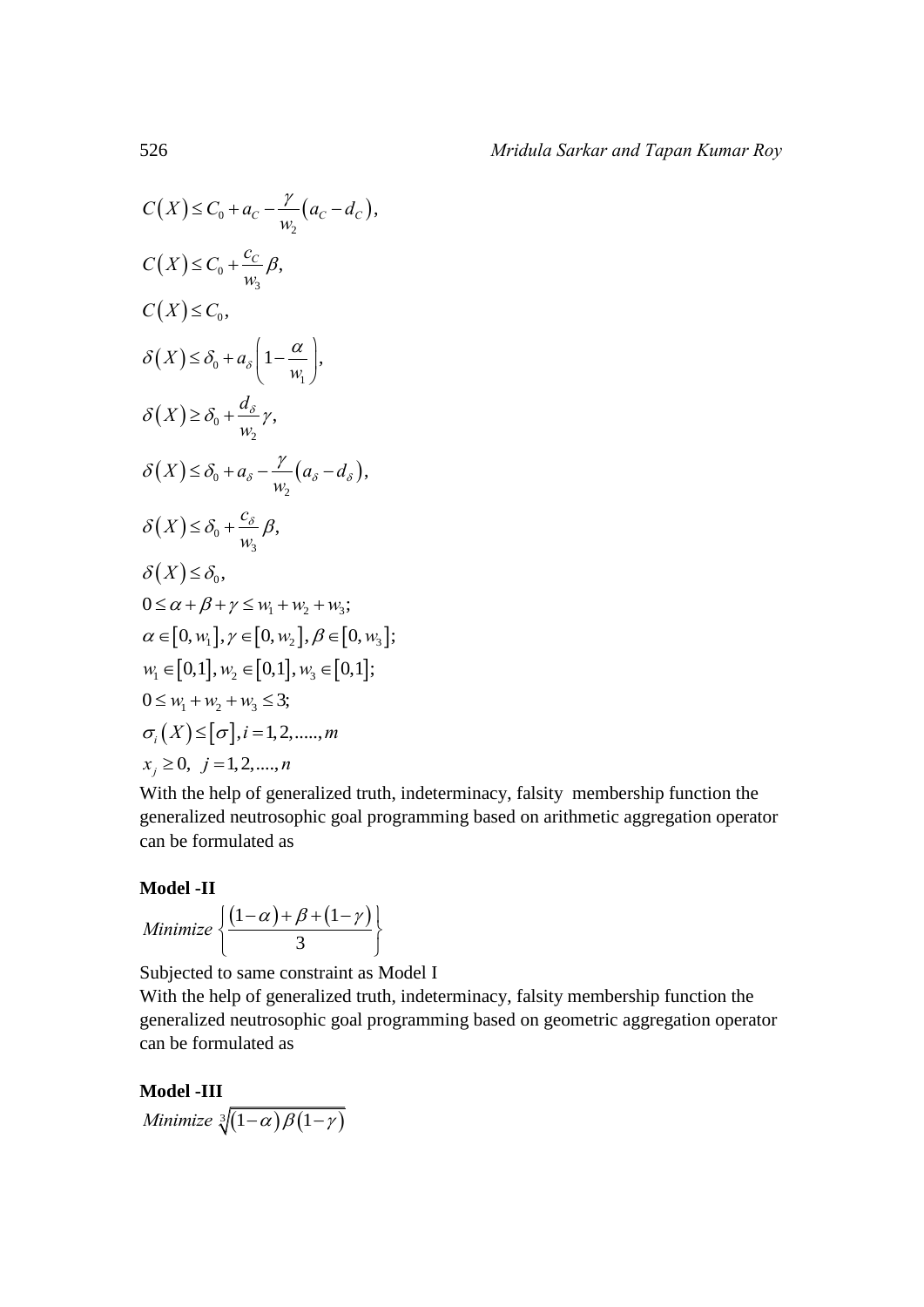$$
C(X) \leq C_0 + a_C - \frac{\gamma}{w_2} (a_C - d_C),
$$
  
\n
$$
C(X) \leq C_0 + \frac{c_C}{w_3} \beta,
$$
  
\n
$$
C(X) \leq C_0,
$$
  
\n
$$
\delta(X) \leq \delta_0 + a_{\delta} \left(1 - \frac{a}{w_1}\right),
$$
  
\n
$$
\delta(X) \geq \delta_0 + \frac{d_{\delta}}{w_2} \gamma,
$$
  
\n
$$
\delta(X) \leq \delta_0 + a_{\delta} - \frac{\gamma}{w_2} (a_{\delta} - d_{\delta}),
$$
  
\n
$$
\delta(X) \leq \delta_0 + \frac{c_{\delta}}{w_3} \beta,
$$
  
\n
$$
\delta(X) \leq \delta_0,
$$
  
\n
$$
0 \leq \alpha + \beta + \gamma \leq w_1 + w_2 + w_3;
$$
  
\n
$$
\alpha \in [0, w_1], \gamma \in [0, w_2], \beta \in [0, w_3];
$$
  
\n
$$
w_1 \in [0, 1], w_2 \in [0, 1], w_3 \in [0, 1];
$$
  
\n
$$
0 \leq w_1 + w_2 + w_3 \leq 3;
$$
  
\n
$$
\sigma_i(X) \leq [\sigma], i = 1, 2, \dots, m
$$
  
\n
$$
x_j \geq 0, j = 1, 2, \dots, n
$$

With the help of generalized truth, indeterminacy, falsity membership function the generalized neutrosophic goal programming based on arithmetic aggregation operator can be formulated as

# **Model -II**

**Model -II**  
*Minimize* 
$$
\left\{ \frac{(1-\alpha)+\beta+(1-\gamma)}{3} \right\}
$$

Subjected to same constraint as Model I

With the help of generalized truth, indeterminacy, falsity membership function the generalized neutrosophic goal programming based on geometric aggregation operator can be formulated as

**Model -III** *Minimize*  $\sqrt[3]{(1-\alpha)\beta(1-\gamma)}$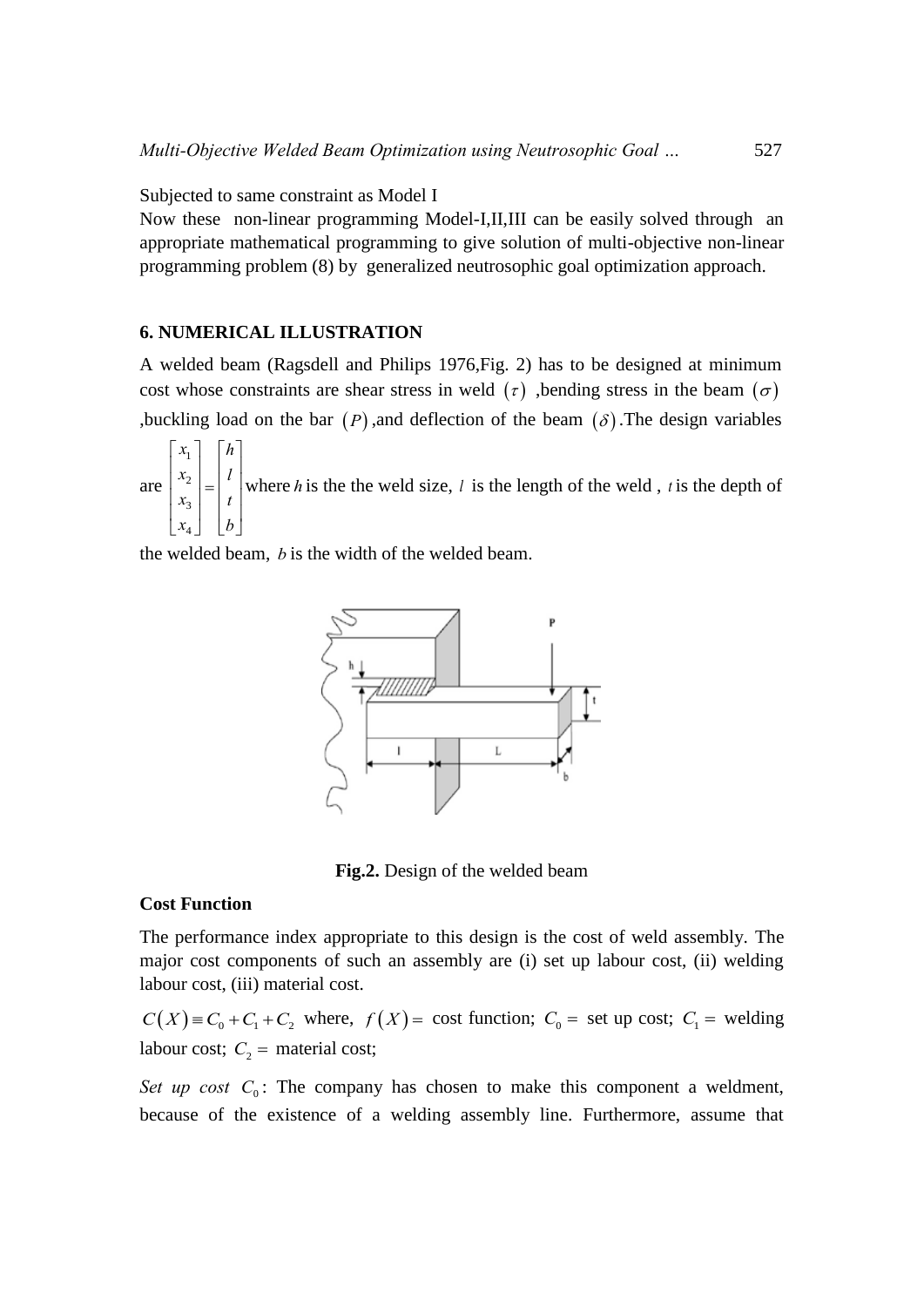Subjected to same constraint as Model I

Now these non-linear programming Model-I,II,III can be easily solved through an appropriate mathematical programming to give solution of multi-objective non-linear programming problem (8) by generalized neutrosophic goal optimization approach.

#### **6. NUMERICAL ILLUSTRATION**

A welded beam (Ragsdell and Philips 1976,Fig. 2) has to be designed at minimum cost whose constraints are shear stress in weld  $(\tau)$ , bending stress in the beam  $(\sigma)$ ,buckling load on the bar  $(P)$ , and deflection of the beam  $(\delta)$ . The design variables

are 1 2 3 4  $x_1$  |  $h$  $x_2$  |  $l$  $x_3$  |  $t$  $x_4$  | |  $b$  $\begin{bmatrix} x_1 \\ x_2 \\ x_3 \\ x_4 \end{bmatrix} = \begin{bmatrix} h \\ l \\ t \\ b \end{bmatrix},$ where  $h$  is the the weld size,  $l$  is the length of the weld,  $t$  is the depth of

the welded beam, *b* is the width of the welded beam.



**Fig.2.** Design of the welded beam

#### **Cost Function**

The performance index appropriate to this design is the cost of weld assembly. The major cost components of such an assembly are (i) set up labour cost, (ii) welding labour cost, (iii) material cost.

 $C(X) \equiv C_0 + C_1 + C_2$  where,  $f(X) = \text{cost function}$ ;  $C_0 = \text{set up cost}$ ;  $C_1 = \text{welding}$ labour cost;  $C_2$  = material cost;

*Set up cost*  $C_0$ : The company has chosen to make this component a weldment, because of the existence of a welding assembly line. Furthermore, assume that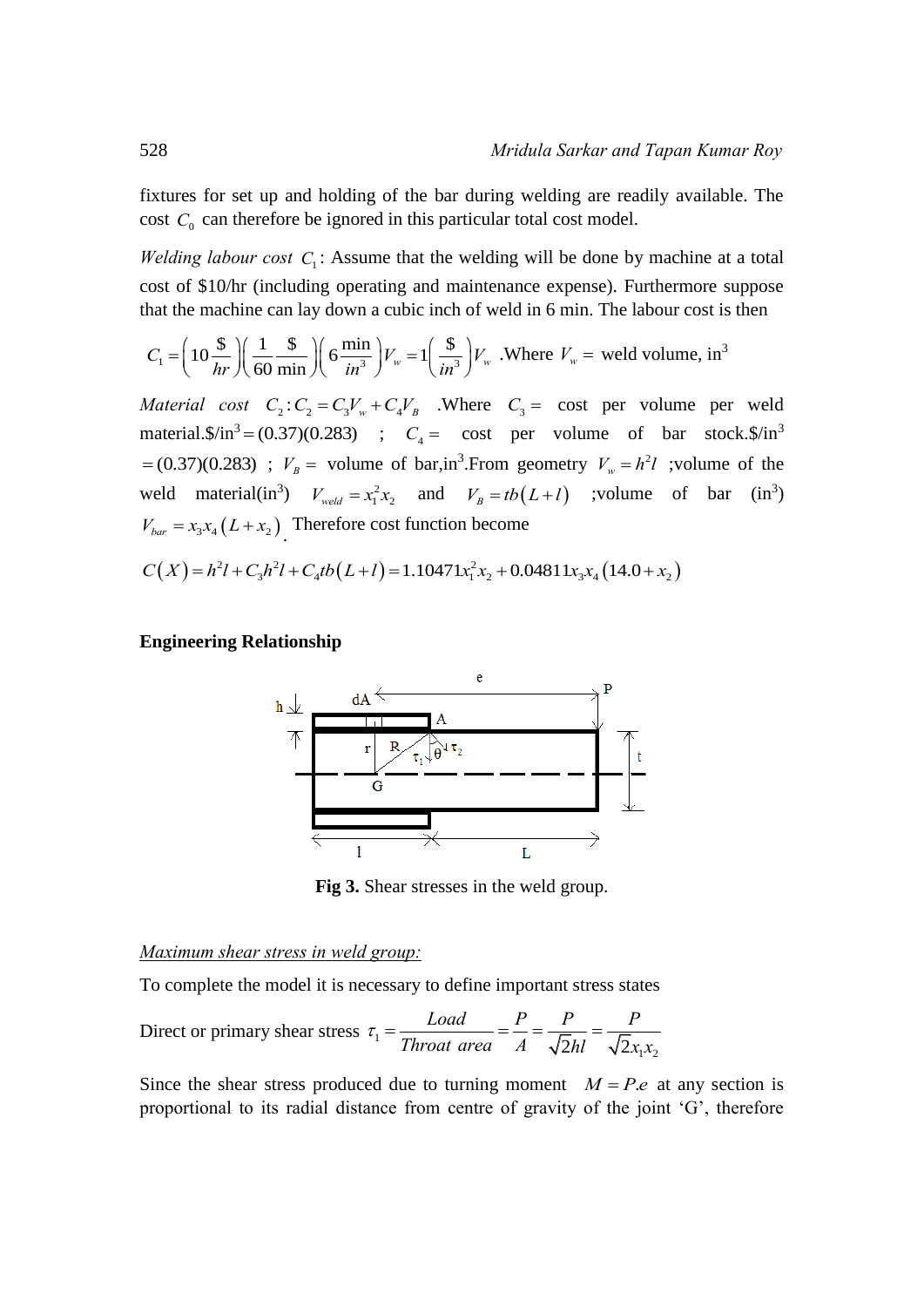fixtures for set up and holding of the bar during welding are readily available. The cost  $C_0$  can therefore be ignored in this particular total cost model.

*Welding labour cost*  $C_1$ : Assume that the welding will be done by machine at a total cost of \$10/hr (including operating and maintenance expense). Furthermore suppose

that the machine can lay down a cubic inch of well in 6 min. The labour cost is then  
\n
$$
C_1 = \left(10 \frac{\$}{hr}\right) \left(\frac{1}{60} \frac{\$}{min}\right) \left(\frac{\$}{in^3}\right) V_w = 1 \left(\frac{\$}{in^3}\right) V_w
$$
 . Where  $V_w$  = well volume, in<sup>3</sup>

*Material cost*  $C_2$ :  $C_2 = C_3 V_w + C_4 V_B$  . Where  $C_3 = \text{cost}$  per volume per weld material. $\frac{\sinh^3(0.37)}{0.283}$  ;  $C_4 = \text{cost per volume of bar stock.} \frac{\sinh^3(0.283)}{0.283}$  $= (0.37)(0.283)$ ;  $V_B =$  volume of bar,in<sup>3</sup>. From geometry  $V_w = h^2 l$ ; volume of the weld material(in<sup>3</sup>)  $V_{\text{weld}} = x_1^2 x_2$  and  $V_B = tb(L+l)$  ;volume of bar (in<sup>3</sup>)<br>  $V_{\text{bar}} = x_3 x_4 (L+x_2)$  Therefore cost function become<br>  $C(X) = h^2 l + C_3 h^2 l + C_4 tb(L+l) = 1.10471 x_1^2 x_2 + 0.04811 x_3 x_4 (14.0 + x_2)$  $V_{bar} = x_3 x_4 (L + x_2)$ . Therefore cost function become

$$
C(X) = h2l + C3h2l + C4tb(L+l) = 1.10471x12x2 + 0.04811x3x4(14.0 + x2)
$$

#### **Engineering Relationship**



**Fig 3.** Shear stresses in the weld group.

#### *Maximum shear stress in weld group:*

To complete the model it is necessary to define important stress states  
Direct or primary shear stress 
$$
\tau_1 = \frac{Load}{Thread} = \frac{P}{A} = \frac{P}{\sqrt{2}hl} = \frac{P}{\sqrt{2}x_1x_2}
$$

Since the shear stress produced due to turning moment  $M = P.e$  at any section is proportional to its radial distance from centre of gravity of the joint 'G', therefore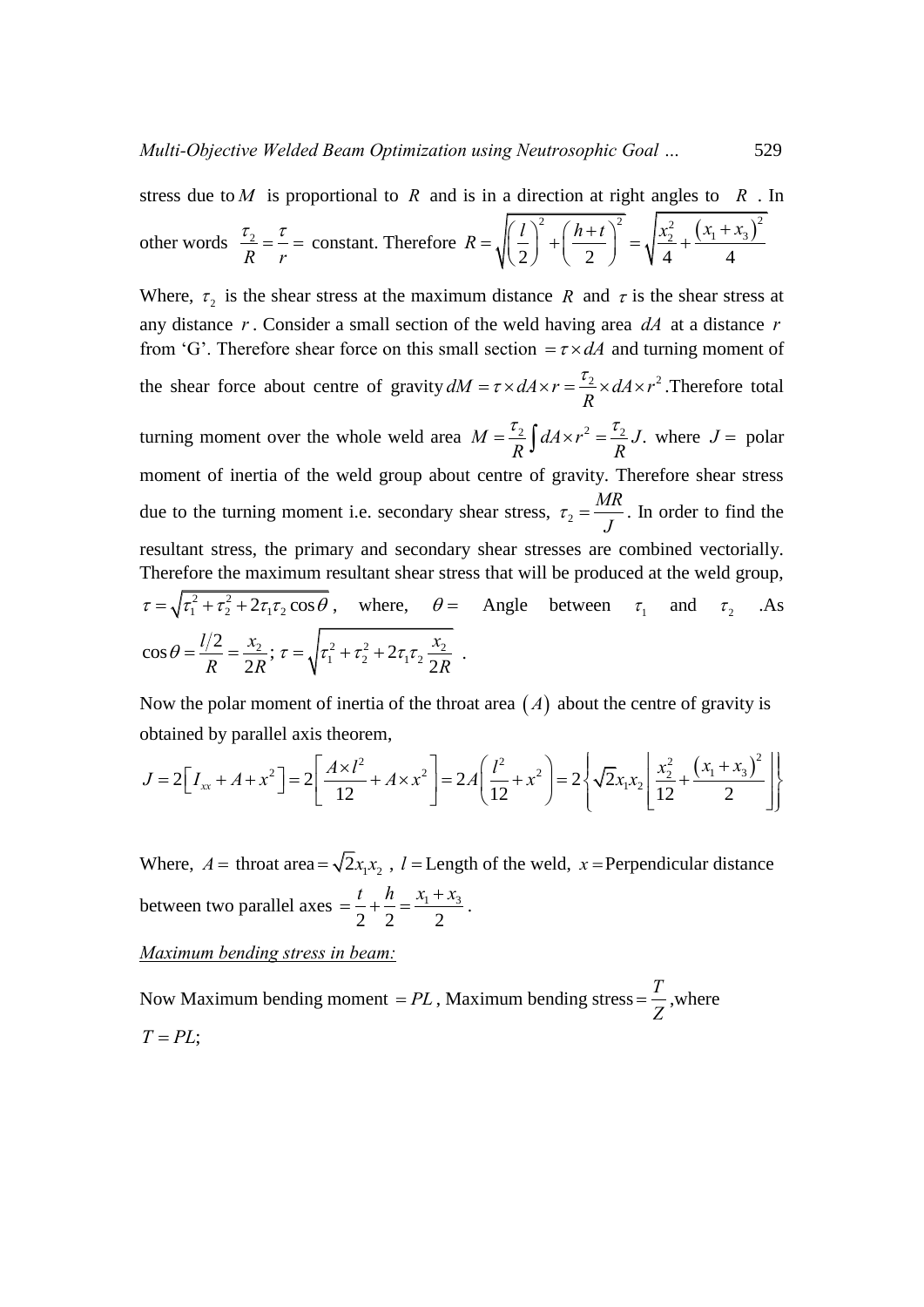stress due to *M* is proportional to *R* and is in a direction at right angles to *R*. In  
other words 
$$
\frac{\tau_2}{R} = \frac{\tau}{r} = \text{constant. Therefore } R = \sqrt{\left(\frac{l}{2}\right)^2 + \left(\frac{h+t}{2}\right)^2} = \sqrt{\frac{x_2^2}{4} + \frac{(x_1 + x_3)^2}{4}}
$$

Where,  $\tau_2$  is the shear stress at the maximum distance R and  $\tau$  is the shear stress at any distance r. Consider a small section of the weld having area  $dA$  at a distance r from 'G'. Therefore shear force on this small section  $= \tau \times dA$  and turning moment of the shear force about centre of gravity  $dM = \tau \times dA \times r = \frac{\tau_2}{R} \times dA \times r^2$ . Then,  $=\tau \times dA \times r = \frac{\tau_2}{R} \times dA \times r^2$ . Therefore total turning moment over the whole weld area  $M = \frac{\tau_2}{R} \int dA \times r^2 = \frac{\tau_2}{R} J$ .  $\frac{1}{R}$ *J*  $dA \times r^2 = \frac{1}{R}J$ .  $=\frac{\tau_2}{R}\int dA \times r^2 = \frac{\tau_2}{R}J$ . where  $J =$  polar moment of inertia of the weld group about centre of gravity. Therefore shear stress due to the turning moment i.e. secondary shear stress,  $\tau_2$ *MR J*  $\tau_2 = \frac{m}{l}$ . In order to find the resultant stress, the primary and secondary shear stresses are combined vectorially. Therefore the maximum resultant shear stress that will be produced at the weld group,  $\tau = \sqrt{\tau_1^2 + \tau_2^2 + 2\tau_1\tau_2\cos\theta}$ , where,  $\theta =$ Angle between  $\tau_1$  and  $\tau_2$  .As  $\cos \theta = \frac{l/2}{l} = \frac{x_2}{2}$ ; 2  $l/2 \quad x$  $R = 2R$ <sup>\*</sup>  $\theta = \frac{l/2}{R} = \frac{x_2}{2R}; \tau = \sqrt{\tau_1^2 + \tau_2^2 + 2\tau_1\tau_2\frac{x_2}{2R}}$ *x R*  $\tau = \sqrt{\tau_1^2 + \tau_2^2 + 2\tau_1\tau_2 \frac{x_2}{2R}}$ .

obtained by parallel axis theorem, rem,<br> $\begin{bmatrix} 2 & 2 \\ 2 & 2 \end{bmatrix}$   $2 \left( \begin{bmatrix} l^2 & 2 \\ 2 & 2 \end{bmatrix} \right)$   $2 \left( \begin{bmatrix} \overline{Q}_{211} & x_2^2 & 2 \end{bmatrix} \right)$ 

Now the polar moment of inertia of the throat area (A) about the centre of gravity is  
obtained by parallel axis theorem,  

$$
J = 2\Big[I_{xx} + A + x^2\Big] = 2\Bigg[\frac{A \times l^2}{12} + A \times x^2\Bigg] = 2A\Bigg(\frac{l^2}{12} + x^2\Bigg) = 2\Bigg{\sqrt{2}x_1x_2\Bigg[\frac{x_2^2}{12} + \frac{(x_1 + x_3)^2}{2}\Bigg]\Bigg}
$$

Where,  $A =$  throat area =  $\sqrt{2x_1x_2}$ ,  $l =$  Length of the weld,  $x =$  Perpendicular distance between two parallel axes  $=$   $\frac{l}{2} + \frac{l}{2} = \frac{x_1 + x_3}{2}$  $2^{\degree}$  2  $2^{\degree}$  2  $=\frac{t}{2}+\frac{h}{2}=\frac{x_1+x_3}{2}$ .

*Maximum bending stress in beam:* 

Now Maximum bending moment  $= PL$ , Maximum bending stress  $=$   $\frac{T}{Z}$ *Z*  $=\frac{1}{7}$ , where  $T = PL$ ;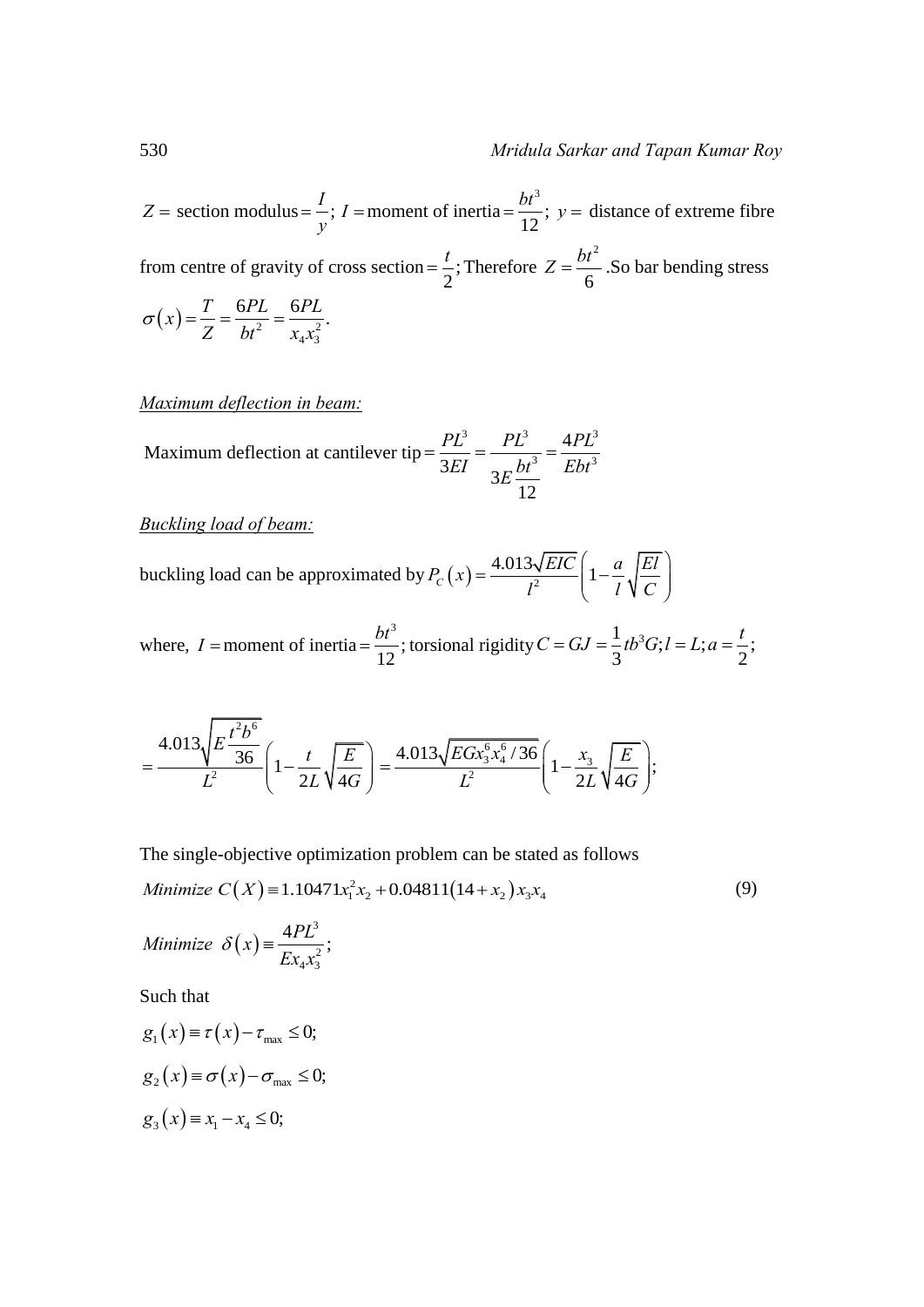$Z =$  section modulus =  $\frac{I}{i}$ ; *y*  $=$   $\frac{1}{i}$ ; *I* = moment of inertia 3 ; 12  $=\frac{bt^3}{12}$ ; y = distance of extreme fibre from centre of gravity of cross section =  $\frac{1}{2}$ ; 2  $=\frac{t}{2}$ ; Therefore 2 6  $Z = \frac{bt^2}{2}$ . So bar bending stress  $(x) = \frac{T}{Z} = \frac{6PL}{bt^2} = \frac{6PL}{x^2}$  $4x_3$  $f(x) = \frac{T}{Z} = \frac{6PL}{bt^2} = \frac{6PL}{x_4x_3^2}.$  $\sigma(x) = \frac{T}{7} = \frac{6PL}{1^2} = \frac{6H}{1^2}$ 

*Maximum deflection in beam:* 

Maximum deflection at cantilever tip 
$$
=\frac{PL^3}{3EI} = \frac{PL^3}{3E} = \frac{4PL^3}{Ebt^3}
$$

*Buckling load of beam:* 

buckling load can be approximated by  $P_C(x) = \frac{4.013\sqrt{EIC}}{I^2} \left(1 - \frac{a}{I}\sqrt{\frac{EI}{C}}\right)$  $\frac{\partial \sqrt{EIC}}{l^2}$   $\left(1-\frac{a}{l}\sqrt{\frac{El}{C}}\right)$  $\begin{pmatrix} a & \boxed{El} \end{pmatrix}$  $=\frac{4.013\sqrt{EIC}}{l^2}\left(1-\frac{a}{l}\sqrt{\frac{El}{C}}\right)$ 

where,  $I =$  moment of inertia 3 ; 12  $=\frac{bt^3}{12}$ ; torsional rigidity  $C = GJ = \frac{1}{2}tb^3G; l = L; a = \frac{t}{2}$ ;  $C = GJ = \frac{1}{3}tb^3G; l = L; a = \frac{t}{2};$ 

$$
=\frac{4.013\sqrt{E\frac{t^2b^6}{36}}}{L^2}\left(1-\frac{t}{2L}\sqrt{\frac{E}{4G}}\right)=\frac{4.013\sqrt{EGx_3^6x_4^6/36}}{L^2}\left(1-\frac{x_3}{2L}\sqrt{\frac{E}{4G}}\right);
$$

The single-objective optimization problem can be stated as follows

The single-objective optimization problem can be stated as follows  
\n*Minimize* 
$$
C(X) = 1.10471x_1^2x_2 + 0.04811(14 + x_2)x_3x_4
$$
 (9)

Minimize 
$$
\delta(x) = \frac{4PL^3}{Ex_4x_3^2}
$$
;

Such that

$$
g_1(x) \equiv \tau(x) - \tau_{\text{max}} \le 0;
$$
  
\n
$$
g_2(x) \equiv \sigma(x) - \sigma_{\text{max}} \le 0;
$$
  
\n
$$
g_3(x) \equiv x_1 - x_4 \le 0;
$$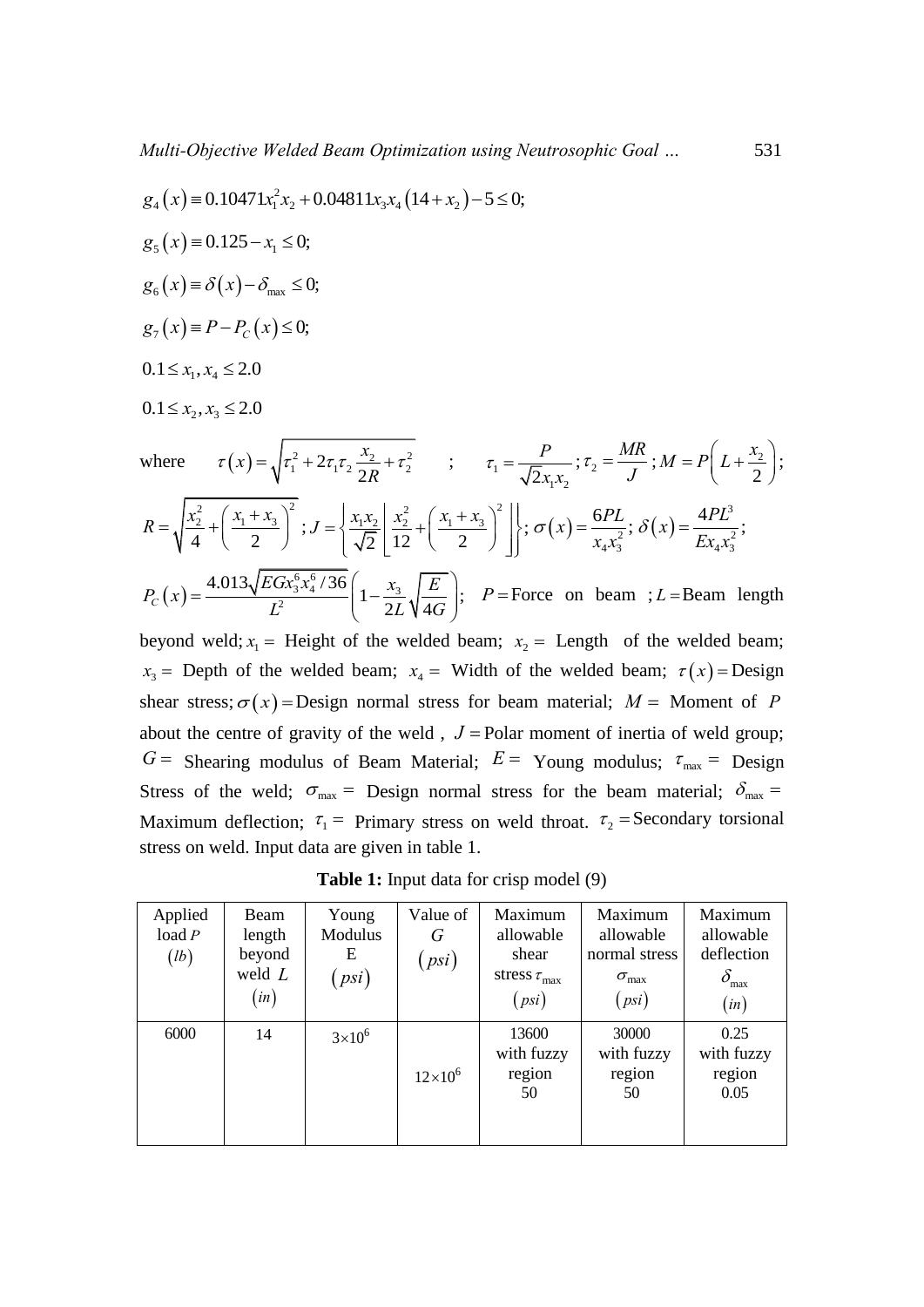Multi-Objective *Welded Beam Optimization* using *Neutrosophic Goal* ...  
\n
$$
g_4(x) = 0.10471x_1^2x_2 + 0.04811x_3x_4(14 + x_2) - 5 \le 0;
$$
  
\n $g_5(x) = 0.125 - x_1 \le 0;$   
\n $g_6(x) = \delta(x) - \delta_{\text{max}} \le 0;$   
\n $g_7(x) = P - P_C(x) \le 0;$   
\n $0.1 \le x_1, x_4 \le 2.0$   
\n $0.1 \le x_2, x_3 \le 2.0$   
\nwhere  $\tau(x) = \sqrt{\tau_1^2 + 2\tau_1\tau_2 \frac{x_2}{2R} + \tau_2^2}$ ;  $\tau_1 = \frac{P}{\sqrt{2}x_1x_2}; \tau_2 = \frac{MR}{J}; M = P\left(L + \frac{x_2}{2}\right);$   
\n $R = \sqrt{\frac{x_2^2}{4} + \left(\frac{x_1 + x_3}{2}\right)^2}; J = \left\{\frac{x_1x_2}{\sqrt{2}}\left[\frac{x_2^2}{12} + \left(\frac{x_1 + x_3}{2}\right)^2\right]\right\}; \sigma(x) = \frac{6PL}{x_4x_3^2}; \delta(x) = \frac{4PL^3}{Ex_4x_3^2};$   
\n $P_C(x) = \frac{4.013\sqrt{EGx_3^6x_3^6/36}}{L^2} \left(1 - \frac{x_3}{2L}\sqrt{\frac{E}{4G}}\right); P = \text{Force on beam }; L = \text{Beam length}$ 

beyond weld;  $x_1$  = Height of the welded beam;  $x_2$  = Length of the welded beam;  $x_3$  = Depth of the welded beam;  $x_4$  = Width of the welded beam;  $\tau(x)$  = Design shear stress;  $\sigma(x)$  = Design normal stress for beam material;  $M =$  Moment of P about the centre of gravity of the weld,  $J =$  Polar moment of inertia of weld group;  $G =$  Shearing modulus of Beam Material;  $E =$  Young modulus;  $\tau_{\text{max}} =$  Design Stress of the weld;  $\sigma_{\text{max}} =$  Design normal stress for the beam material;  $\delta_{\text{max}} =$ Maximum deflection;  $\tau_1$  = Primary stress on weld throat.  $\tau_2$  = Secondary torsional stress on weld. Input data are given in table 1.

**Table 1:** Input data for crisp model (9)

| Applied<br>load P<br>(lb) | Beam<br>length<br>beyond<br>weld $L$<br>$\left($ in $\right)$ | Young<br>Modulus<br>Ε<br>psi) | Value of<br>G<br>(psi) | Maximum<br>allowable<br>shear<br>stress $\tau_{\text{max}}$<br>(psi) | Maximum<br>allowable<br>normal stress<br>$\sigma_{\rm max}$<br>(psi) | Maximum<br>allowable<br>deflection<br>$\delta_{\max}$<br>(in) |
|---------------------------|---------------------------------------------------------------|-------------------------------|------------------------|----------------------------------------------------------------------|----------------------------------------------------------------------|---------------------------------------------------------------|
| 6000                      | 14                                                            | $3\times10^6$                 | $12 \times 10^{6}$     | 13600<br>with fuzzy<br>region<br>50                                  | 30000<br>with fuzzy<br>region<br>50                                  | 0.25<br>with fuzzy<br>region<br>0.05                          |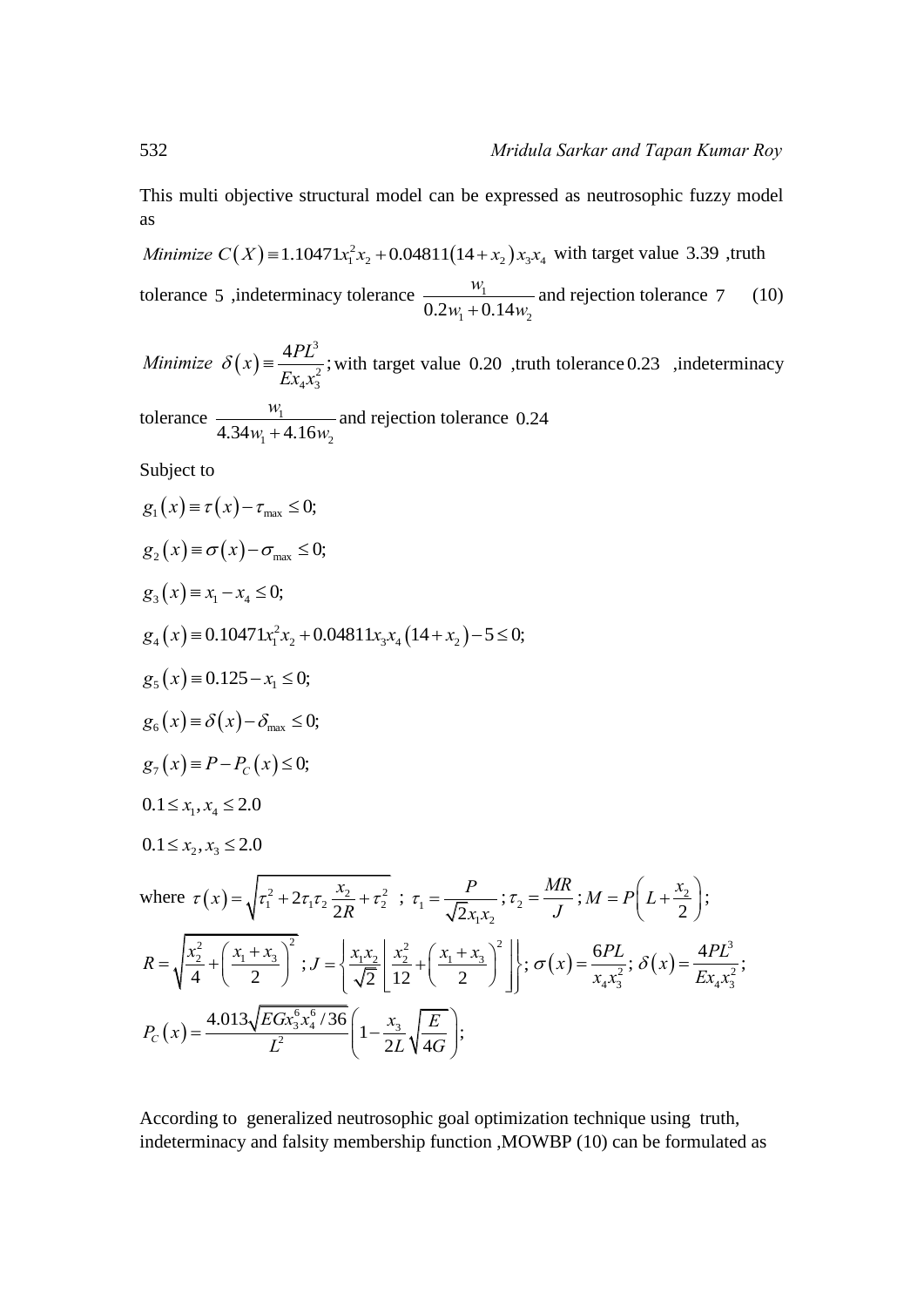This multi objective structural model can be expressed as neutrosophic fuzzy model as This multi objective structural model can be expressed as ne<br>as<br>*Minimize*  $C(X) = 1.10471x_1^2x_2 + 0.04811(14 + x_2)x_3x_4$  with ta

with target value 3.39 ,truth tolerance 5, indeterminacy tolerance  $\frac{w_1}{\sqrt{2}}$  $0.2 w_1 + 0.14 w_2$ *w*  $w_1 + 0.14w_2$ and rejection tolerance  $(10)$ 

 $(x) = \frac{4PL^3}{Fx}$  $x_3^2$ *Minimize*  $\delta(x) = \frac{4PL^3}{E_1x^2}$ ;  $\delta(x) = \frac{472}{Ex_4 x_3^2}$ ; with target value 0.20 ,truth tolerance 0.23 ,indeterminacy tolerance  $\frac{w_1}{1.21}$  $4.34w_1 + 4.16w_2$ *w*  $w_1 + 4.16w_2$ and rejection tolerance 0.24

Subject to

$$
g_1(x) = \tau(x) - \tau_{\max} \le 0;
$$
  
\n
$$
g_2(x) = \sigma(x) - \sigma_{\max} \le 0;
$$
  
\n
$$
g_3(x) = x_1 - x_4 \le 0;
$$
  
\n
$$
g_4(x) = 0.10471x_1^2x_2 + 0.04811x_3x_4(14 + x_2) - 5 \le 0;
$$
  
\n
$$
g_5(x) = 0.125 - x_1 \le 0;
$$
  
\n
$$
g_6(x) = \delta(x) - \delta_{\max} \le 0;
$$
  
\n
$$
g_7(x) = P - P_C(x) \le 0;
$$
  
\n
$$
0.1 \le x_1, x_4 \le 2.0
$$
  
\n
$$
0.1 \le x_2, x_3 \le 2.0
$$
  
\nwhere  $\tau(x) = \sqrt{\tau_1^2 + 2\tau_1\tau_2 \frac{x_2}{2R} + \tau_2^2}; \tau_1 = \frac{P}{\sqrt{2}x_1x_2}; \tau_2 = \frac{MR}{J}; M = P\left(L + \frac{x_2}{2}\right);$   
\n
$$
R = \sqrt{\frac{x_2^2}{4} + \left(\frac{x_1 + x_3}{2}\right)^2}; J = \left\{\frac{x_1x_2}{\sqrt{2}}\left[\frac{x_2^2}{12} + \left(\frac{x_1 + x_3}{2}\right)^2\right]\right}; \sigma(x) = \frac{6PL}{x_4x_3^2}; \delta(x) = \frac{4PL^3}{Ex_4x_3^2};
$$
  
\n
$$
P_C(x) = \frac{4.013\sqrt{EGx_3^6x_4^6/36}}{L^2} \left(1 - \frac{x_3}{2L}\sqrt{\frac{E}{4G}}\right);
$$

According to generalized neutrosophic goal optimization technique using truth, indeterminacy and falsity membership function ,MOWBP (10) can be formulated as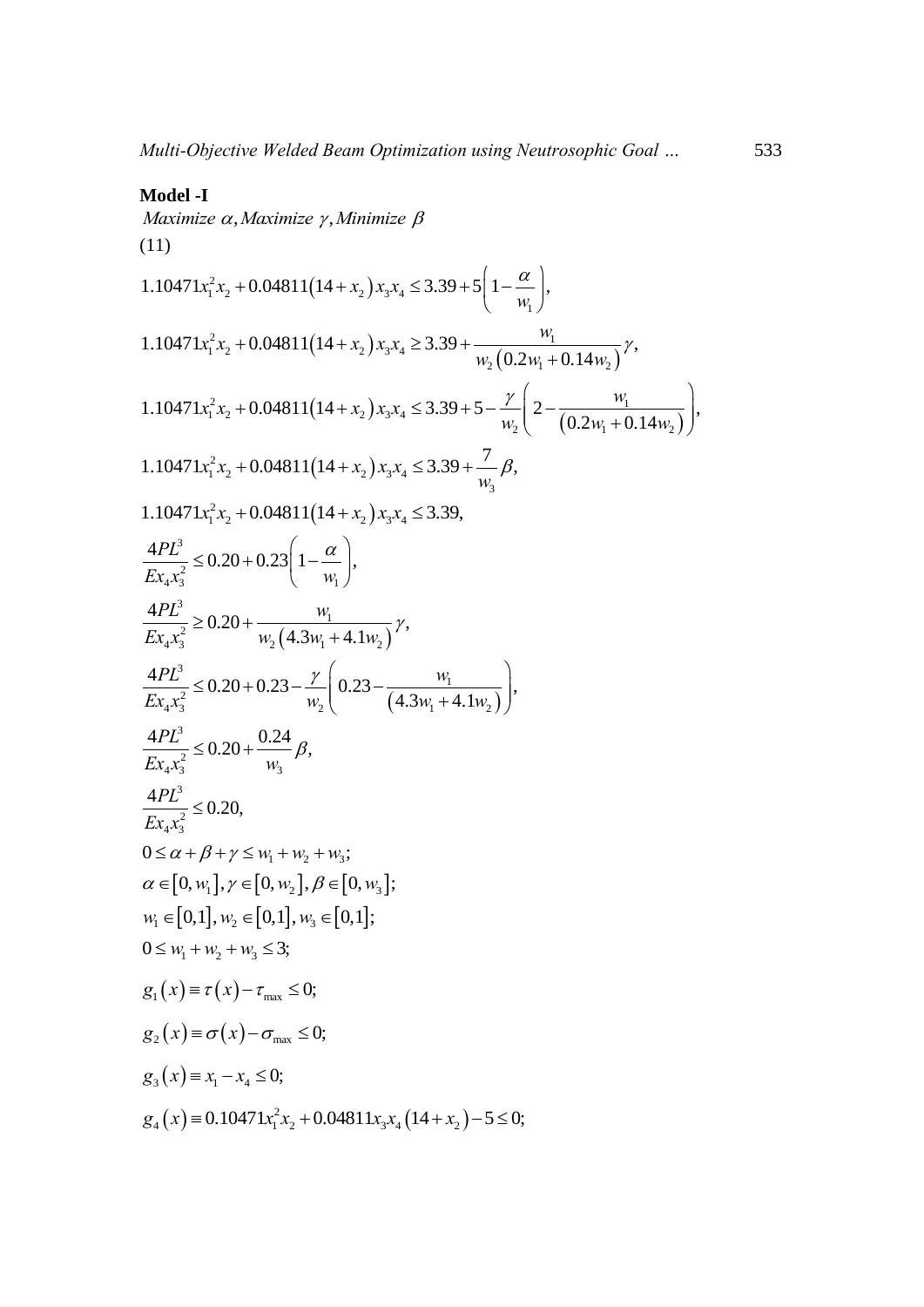#### **Model -I**

 $Maximize \alpha, Maximize \gamma, Minimize \beta$ (11) Maximize  $\alpha$ , Maximize  $\gamma$ , Minimize  $\beta$ <br>
(11)<br>
1.10471 $x_1^2 x_2 + 0.04811(14 + x_2)x_3 x_4 \le 3.39 + 5\left(1 - \frac{\alpha}{w_1}\right)$ ,  $\left(1-\frac{\alpha}{\beta}\right)$ + 0.04811(14+ $x_2$ ) $x_3x_4 \le 3.39 + 5\left(1 - \frac{\alpha}{w_1}\right)$ ,  $(14 + x_2)x_3x_4 \le 3.39 + 5\left(1 - \frac{\alpha}{w_1}\right),$ <br> $(14 + x_2)x_3x_4 \ge 3.39 + \frac{w_1}{w_2(0.2w_1 + 0.14w_2)}$  $2r + 0.04811(14 + r) r r > 3.39 + \frac{W_1}{W_2}$  $x_1^2 x_2 + 0.04811(14 + x_2)x_3x_4$  $\frac{w_1}{w_2(0.2w_1+0.14w_2)}$ 1.10471 $x_1^2 x_2 + 0.04811(14 + x_2)x_3 x_4 \le 3.39 + 5\left(1 - \frac{x_1}{w_1}\right)$ ,<br>1.10471 $x_1^2 x_2 + 0.04811(14 + x_2)x_3 x_4 \ge 3.39 + \frac{w_1}{w_2(0.2w_1 + 0.14w_2)}\gamma$ ,  $\frac{w_1}{w_1}$ <br>0.2 $w_1$  + 0.14 *w*  $x_1x_2 + 0.04811(14 + x_2)x_3x_4 \le 3.39 + 3$ <br> $x_1^2x_2 + 0.04811(14 + x_2)x_3x_4 \ge 3.39 + 3$ *w*<sub>1</sub> *w*<sub>1</sub><br>*w*<sub>2</sub>  $\left(0.2w_1 + 0.14w_2\right)$ <sup>*y*</sup>, +0.04811(14+x<sub>2</sub>)x<sub>3</sub>x<sub>4</sub> ≤ 3.39 + 5(1- $\frac{w}{w_1}$ ),<br>+0.04811(14+x<sub>2</sub>)x<sub>3</sub>x<sub>4</sub> ≥ 3.39 +  $\frac{w_1}{w_2(0.2w_1 + 0.14w_2)}$ <sup>y</sup>  $(14 + x_2)x_3x_4 \ge 3.39 + \frac{w_1}{w_2(0.2w_1 + 0.14w_2)}\gamma,$ <br> $(14 + x_2)x_3x_4 \le 3.39 + 5 - \frac{\gamma}{w_2}\left(2 - \frac{w_1}{(0.2w_1 + 0.14w_2)}\right)$  $2x + 0.04811(14 + x) x x < 3.30 + 5$   $12 - w_1$ 1.10471 $x_1^2 x_2 + 0.04811(14 + x_2)x_3 x_4 \ge 3.39 + \frac{W_1}{W_2(0.2W_1 + 0.14W_2)}\gamma$ ,<br>1.10471 $x_1^2 x_2 + 0.04811(14 + x_2)x_3 x_4 \le 3.39 + 5 - \frac{\gamma}{W_2}\left(2 - \frac{W_1}{(0.2W_1 + 0.14W_2)}\right)$ , 0.14 $w_2$ <sup>0</sup><br> $\frac{w_1}{0.2 w_1 + 0.14}$ *w*  $x_1^2 x_2 + 0.04811(14 + x_2)x_3 x_4 \ge 3.39 + \frac{1}{w}$ <br> $x_1^2 x_2 + 0.04811(14 + x_2)x_3 x_4 \le 3.39 + 5$  $0.2w_1 + 0.14w_2$ <br>  $\frac{\gamma}{w_2} \left( 2 - \frac{w_1}{(0.2w_1 + 0.14w_2)} \right)$  $\frac{w_1}{0.2w_1 + 0.14w_2} \gamma,$ <br> $\frac{\gamma}{2 - \frac{w_1}{2w_1 + \gamma}}$ +0.04811(14+x<sub>2</sub>)x<sub>3</sub>x<sub>4</sub> ≥ 3.39 +  $\frac{w_1}{w_2(0.2w_1 + 0.14w_2)}$ <sup>y</sup>,<br>+0.04811(14+x<sub>2</sub>)x<sub>3</sub>x<sub>4</sub> ≤ 3.39 + 5 -  $\frac{\gamma}{w_2}$ (2 -  $\frac{w_1}{(0.2w_1 + 0.14w_2)}$ ),  $\sum_{i=1}^{3} x_2 + 0.04811(14 + x_2)x_3x_4 \le 3.39 + 5 -$ <br> $\frac{1}{2}x_2 + 0.04811(14 + x_2)x_3x_4 \le 3.39 + \frac{7}{w_2}$ 3 1.10471 $x_1^2 x_2 + 0.04811(14 + x_2)x_3 x_4 \le 3.39 + \frac{7}{w_3} \beta$ , 1.10471 $x_1^2 x_2 + 0.04811(14 + x_2)x_3 x_4 \le 3.39 +$ <br>1.10471 $x_1^2 x_2 + 0.04811(14 + x_2)x_3 x_4 \le 3.39$ , 3  $\chi_4^2 \chi_3^2$  = 0.20 + 0.25  $\left(\begin{array}{cc} 1 & w_1 \ w_1 & w_2 & w_3 \end{array}\right)$  $\frac{4PL^3}{\sqrt{B^2+2}} \leq 0.20 + 0.23 \left(1 - \frac{\alpha}{\alpha}\right),$  $\frac{H_1}{E_2 x_4 x_3^2} \leq 0.20 + 0.23 \left(1 - \frac{\alpha}{w_1}\right)$  $\begin{pmatrix} 1 & a \end{pmatrix}$  $\leq 0.20 + 0.23 \left(1 - \frac{\alpha}{w_1}\right),$  $(4.3w_1 + 4.1w_2)$ 3 1  $v_1x_3^2$  = 0.20  $w_2$  (4.3w<sub>1</sub> + 4.1w<sub>2</sub>  $\frac{4PL^3}{Ex_4x_3^2} \ge 0.20 + \frac{w_1}{w_2(4.3w_1 + 4.1w_2)}\gamma,$  $\geq 0.20 + \frac{w_1}{w_2 (4.3w_1 + 4.1w_2)} \gamma$  $(4.3w_1 + 4.1w_2)$ 3 1  $\frac{1}{w_1^2 x_3^2} \le 0.20 + 0.23 - \frac{1}{w_2} \left( \frac{0.23 - \frac{1}{(4.3w_1 + 4.1w_2 + 4.1w_3 + 4.1w_4 + 4.1w_5 + 4.1w_5 + 4.1w_5 + 4.1w_5 + 4.1w_5 + 4.1w_5 + 4.1w_5 + 4.1w_5 + 4.1w_5 + 4.1w_5 + 4.1w_5 + 4.1w_5 + 4.1w_5 + 4.1w_5 + 4.1w_5 + 4.1w_5 + 4.1w$ 4  $w_2$  (4.5 $w_1$  + 4.1 $w_2$ )<br>0.20 + 0.23 -  $\frac{\gamma}{w_1}$  (0.23 -  $\frac{w_1}{(4.3w_1 + 4.1w_1)}$ ),  $\frac{4PL^3}{Ex_4x_3^2} \le 0.20 + 0.23 - \frac{\gamma}{w_2} \left( 0.23 - \frac{w_1}{(4.3w_1 + 4.1w_2)} \right),$  $\left(\frac{w_1+4.1w_2}{2}\right)^{7}$ ,  $\frac{\gamma}{2} \left(0.23-\frac{w_1}{2}\right)$  $w_2$ (4.5 $w_1$ +4.1 $w_2$ )<br>
≤ 0.20 + 0.23 -  $\frac{\gamma}{w_2}$  (0.23 -  $\frac{w_1}{(4.3w_1 + 4.1w_2)}$ ), 3  $x_4^2$   $x_3^2$   $w_3$  $\frac{4PL^3}{R-2} \le 0.20 + \frac{0.24}{R},$  $\frac{1}{Ex_4x_3^2} \leq 0.20 + \frac{1}{w_3}$  $\leq 0.20 + \frac{0.24}{\beta} \beta$ 3 2  $4^{\mathcal{A}}3$  $\frac{4PL^3}{2} \leq 0.20$  $Ex_{4}x_{3}^{2}$  $\leq$  $0 \leq \alpha + \beta + \gamma \leq w_1 + w_2 + w_3;$  $\alpha \in [0, w_1], \gamma \in [0, w_2], \beta \in [0, w_3];$  $w_1 \in [0,1], w_2 \in [0,1], w_3 \in [0,1];$  $0 \leq w_1 + w_2 + w_3 \leq 3$ ;  $g_1(x) \equiv \tau(x) - \tau_{\text{max}} \leq 0;$  $g_2(x) \equiv \sigma(x) - \sigma_{\text{max}} \leq 0;$  $g_3(x) \equiv x_1 - x_4 \le 0;$ <br>  $g_4(x) \equiv 0.10471x_1^2x_2 + 0.04811x_3x_4(14+x_2) - 5 \le 0;$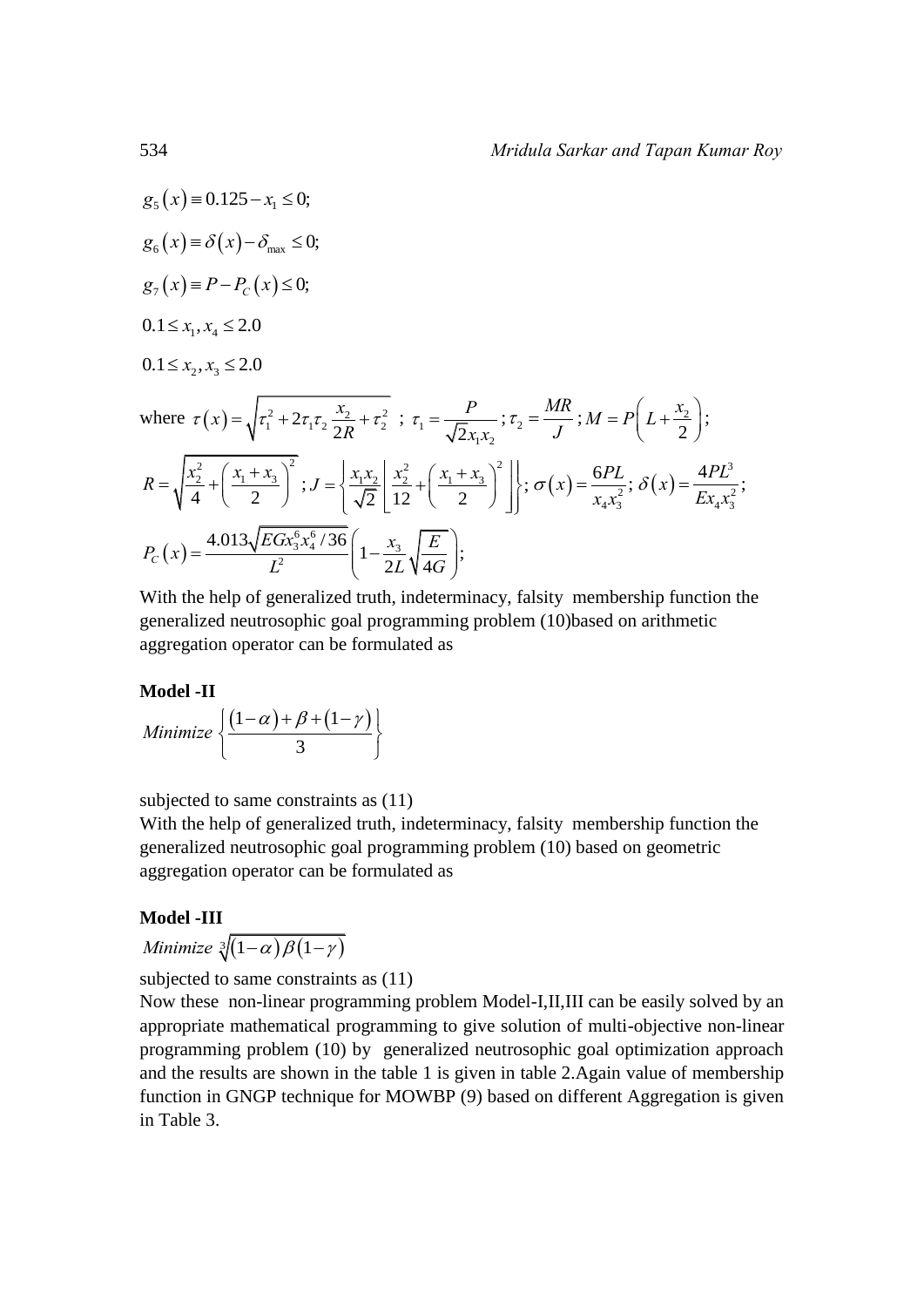$g_e(x) \equiv 0.125 - x_1 \leq 0;$  $g_{6}(x) \equiv \delta(x) - \delta_{\text{max}} \leq 0;$  $g_7(x) \equiv P - P_C(x) \le 0;$  $0.1 \leq x_1, x_4 \leq 2.0$  $0.1 \leq x_2, x_3 \leq 2.0$ where  $\tau(x) = \sqrt{\tau_1^2 + 2\tau_1\tau_2 \frac{x_2}{2R} + \tau_2^2}$  $f(x) = \sqrt{\tau_1^2 + 2\tau_1\tau_2} \frac{x}{2}$  $\tau(x) = \sqrt{\tau_1^2 + 2\tau_1\tau_2 \frac{x_2}{2R} + \tau_2^2}$ ;  $\tau_1 = \frac{P}{\sqrt{2}x_1x_2}$ *P*  $x_1x_2$  $\tau_1 = \frac{1}{\sqrt{2}}$ ;  $\tau_2$ *MR J*  $\tau_2 = \frac{M}{I}$ ;  $M = P \left[ L + \frac{\lambda_2}{2} \right]$ 2  $M = P\left(L + \frac{x_2}{2}\right);$  $\frac{x_2^2}{4} + \left(\frac{x_1 + x_3}{2}\right)^2$  $R = \sqrt{\frac{x_2^2}{4} + \left(\frac{x_1 + x_3}{2}\right)^2}$ ;  $\frac{x_1 x_2}{\sqrt{2}} \left| \frac{x_2^2}{12} + \left( \frac{x_1 + x_3}{2} \right)^2 \right|$ ;  $J = \left\{ \frac{x_1 x_2}{5} \left| \frac{x_2^2}{12} + \left( \frac{x_1 + x_3}{2} \right)^2 \right| \right\}, \sigma$  $=\left\{\frac{x_1x_2}{\sqrt{2}}\left[\frac{x_2^2}{12}+\left(\frac{x_1+x_3}{2}\right)^2\right]\right\};\,\sigma$  $(x) = \frac{QFL}{x^2}$  $4^{\mathcal{A}}3$  $f(x) = \frac{6PL}{2}$ ;  $x_4 x_3^2$  $\sigma(x) = \frac{6PL}{2}; \delta(x) = \frac{4PL^3}{2}$ 2  $4^{\mathcal{A}}3$  $f(x) = \frac{4PL^3}{R^2}$ ;  $Ex_4x_3^2$  $\delta(x)$  =  $(x) = \frac{4.013\sqrt{EGx_3^6x_4^6}}{L^2}$  $\frac{4.013\sqrt{EGx_3^6x_4^6/36}}{I^2}\left(1-\frac{x_3}{2I}\right)$  $\left(1-\frac{x_3}{2I}\sqrt{\frac{E}{4G}}\right);$  $P_c(x) = \frac{4.013\sqrt{EGx_3^6x_4^6/36}}{L^2} \left(1 - \frac{x_3}{2L}\sqrt{\frac{1}{4}}\right)$  $\frac{EGx_3^6x_4^6/36}{2} \left(1 - \frac{x_3}{2}\right)$  $P_c(x) = \frac{4.0}{x}$  $\frac{d^{2}Gx_{3}^{6}x_{4}^{6}/36}{L^{2}}\left(1-\frac{x_{3}}{2L}\sqrt{\frac{E}{4G}}\right);$  $\sqrt{2}$   $\left[\frac{1}{2}$   $\left(\frac{2}{2}\right)\right]$  $=\frac{4.013\sqrt{EGx_3^6x_4^6/36}}{L^2}\left(1-\frac{x_3}{2L}\sqrt{\frac{E}{4G}}\right);$ 

With the help of generalized truth, indeterminacy, falsity membership function the generalized neutrosophic goal programming problem (10)based on arithmetic aggregation operator can be formulated as

#### **Model -II**  $(1-\alpha)+\beta+(1-\gamma)$ 3 **Minimize**  $\left\{\frac{(1-\alpha)+\beta+(1-\gamma)}{2}\right\}$  $\left\{\frac{(1-\alpha)+\beta+(1-\gamma)}{3}\right\}$

subjected to same constraints as  $(11)$ 

With the help of generalized truth, indeterminacy, falsity membership function the generalized neutrosophic goal programming problem (10) based on geometric aggregation operator can be formulated as

# **Model -III**

*Minimize*  $\sqrt[3]{(1-\alpha)\beta(1-\gamma)}$ 

subjected to same constraints as  $(11)$ 

Now these non-linear programming problem Model-I,II,III can be easily solved by an appropriate mathematical programming to give solution of multi-objective non-linear programming problem (10) by generalized neutrosophic goal optimization approach and the results are shown in the table 1 is given in table 2.Again value of membership function in GNGP technique for MOWBP (9) based on different Aggregation is given in Table 3.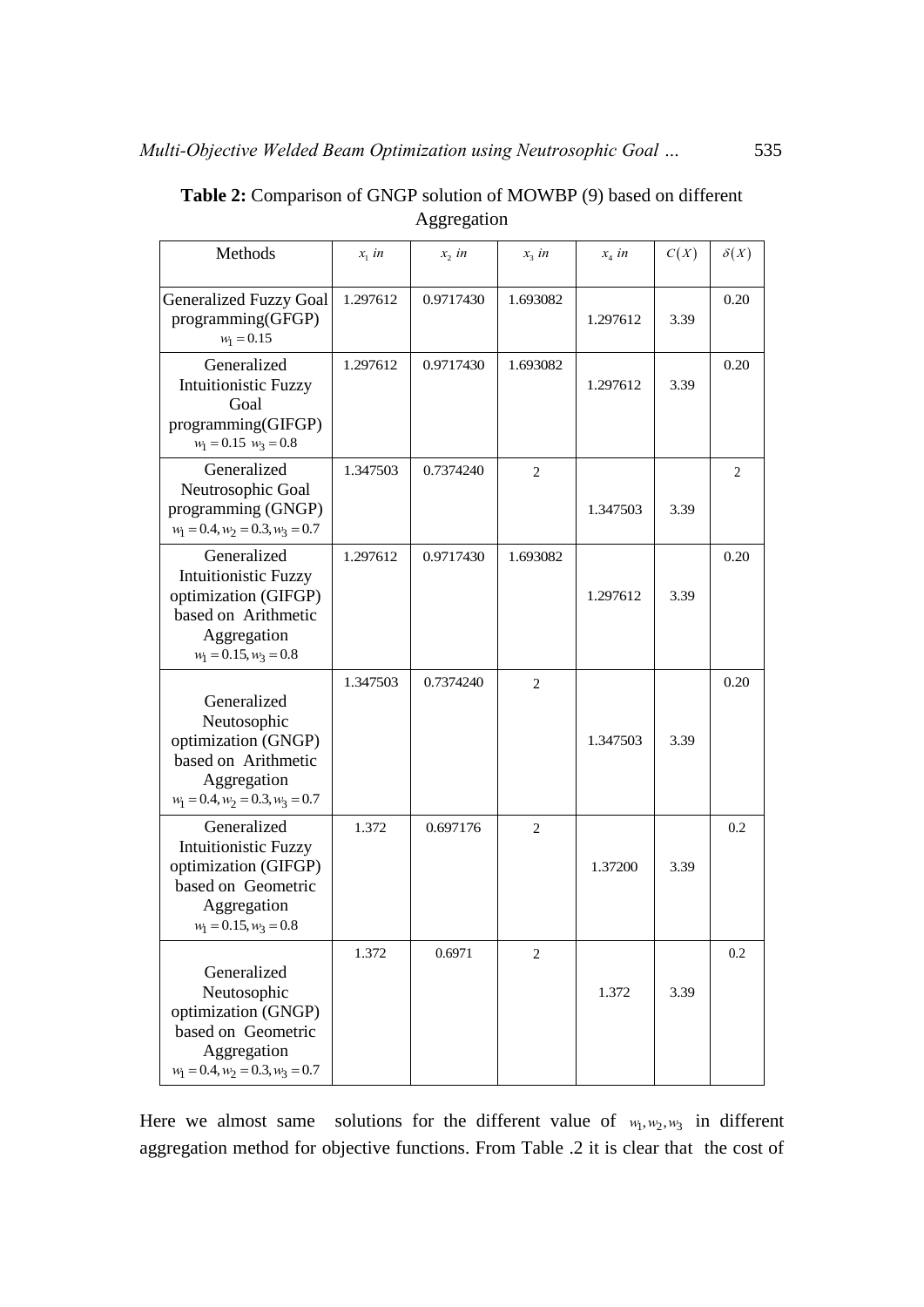| Methods                                                                                                                      | $x_i$ in | $x_2$ in  | $x_3$ in       | $x_4$ in | C(X) | $\delta(X)$    |
|------------------------------------------------------------------------------------------------------------------------------|----------|-----------|----------------|----------|------|----------------|
| <b>Generalized Fuzzy Goal</b><br>programming(GFGP)<br>$w_1 = 0.15$                                                           | 1.297612 | 0.9717430 | 1.693082       | 1.297612 | 3.39 | 0.20           |
| Generalized<br><b>Intuitionistic Fuzzy</b><br>Goal<br>programming(GIFGP)<br>$w_1 = 0.15$ $w_3 = 0.8$                         | 1.297612 | 0.9717430 | 1.693082       | 1.297612 | 3.39 | 0.20           |
| Generalized<br>Neutrosophic Goal<br>programming (GNGP)<br>$w_1 = 0.4, w_2 = 0.3, w_3 = 0.7$                                  | 1.347503 | 0.7374240 | $\overline{2}$ | 1.347503 | 3.39 | $\overline{2}$ |
| Generalized<br>Intuitionistic Fuzzy<br>optimization (GIFGP)<br>based on Arithmetic<br>Aggregation<br>$w_1 = 0.15, w_3 = 0.8$ | 1.297612 | 0.9717430 | 1.693082       | 1.297612 | 3.39 | 0.20           |
| Generalized<br>Neutosophic<br>optimization (GNGP)<br>based on Arithmetic<br>Aggregation<br>$w_1 = 0.4, w_2 = 0.3, w_3 = 0.7$ | 1.347503 | 0.7374240 | $\overline{2}$ | 1.347503 | 3.39 | 0.20           |
| Generalized<br>Intuitionistic Fuzzy<br>optimization (GIFGP)<br>based on Geometric<br>Aggregation<br>$w_1 = 0.15, w_2 = 0.8$  | 1.372    | 0.697176  | $\overline{2}$ | 1.37200  | 3.39 | 0.2            |
| Generalized<br>Neutosophic<br>optimization (GNGP)<br>based on Geometric<br>Aggregation<br>$w_1 = 0.4, w_2 = 0.3, w_3 = 0.7$  | 1.372    | 0.6971    | $\overline{2}$ | 1.372    | 3.39 | 0.2            |

**Table 2:** Comparison of GNGP solution of MOWBP (9) based on different Aggregation

Here we almost same solutions for the different value of  $w_1, w_2, w_3$  in different aggregation method for objective functions. From Table .2 it is clear that the cost of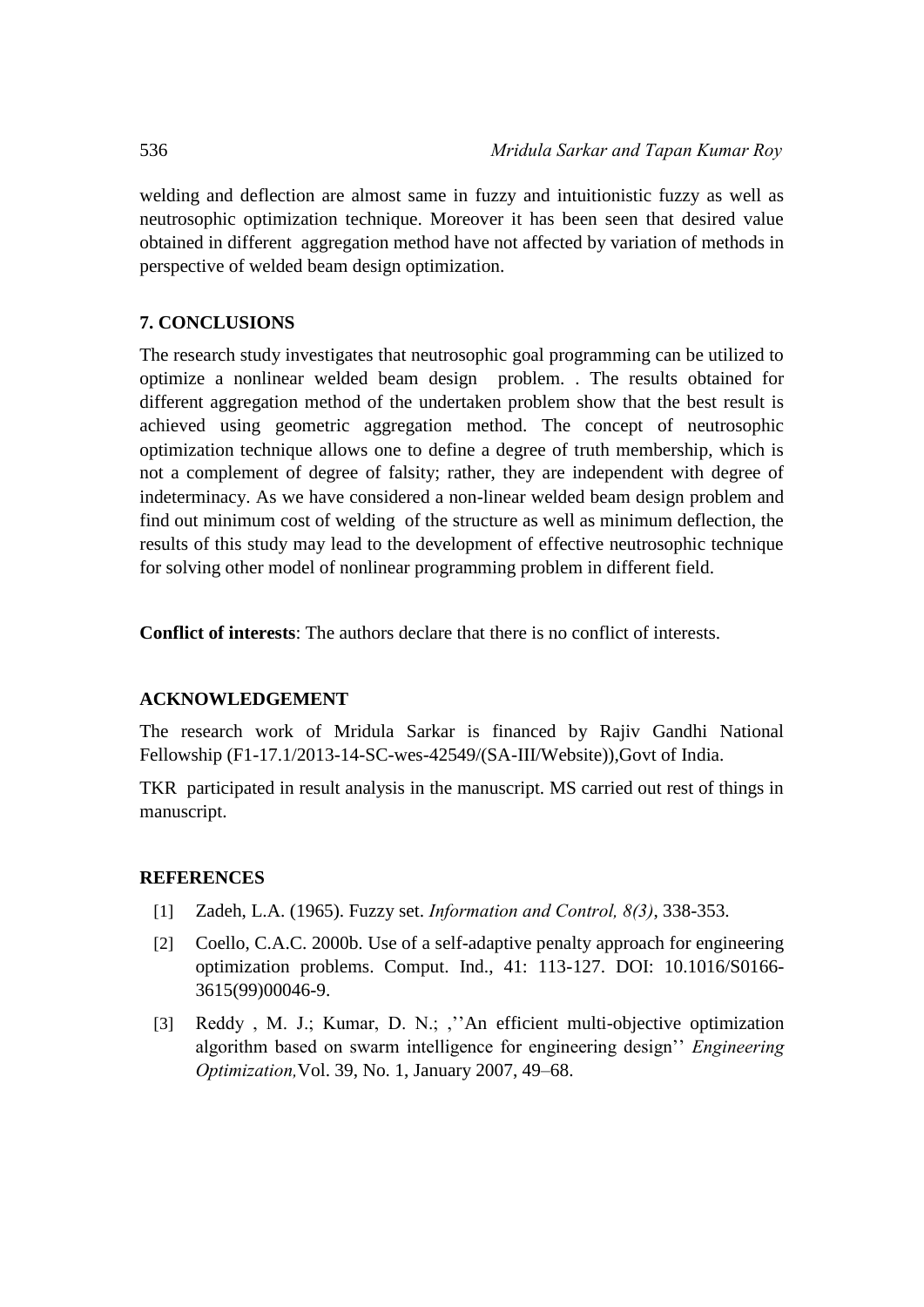welding and deflection are almost same in fuzzy and intuitionistic fuzzy as well as neutrosophic optimization technique. Moreover it has been seen that desired value obtained in different aggregation method have not affected by variation of methods in perspective of welded beam design optimization.

# **7. CONCLUSIONS**

The research study investigates that neutrosophic goal programming can be utilized to optimize a nonlinear welded beam design problem. . The results obtained for different aggregation method of the undertaken problem show that the best result is achieved using geometric aggregation method. The concept of neutrosophic optimization technique allows one to define a degree of truth membership, which is not a complement of degree of falsity; rather, they are independent with degree of indeterminacy. As we have considered a non-linear welded beam design problem and find out minimum cost of welding of the structure as well as minimum deflection, the results of this study may lead to the development of effective neutrosophic technique for solving other model of nonlinear programming problem in different field.

**Conflict of interests**: The authors declare that there is no conflict of interests.

# **ACKNOWLEDGEMENT**

The research work of Mridula Sarkar is financed by Rajiv Gandhi National Fellowship (F1-17.1/2013-14-SC-wes-42549/(SA-III/Website)),Govt of India.

TKR participated in result analysis in the manuscript. MS carried out rest of things in manuscript.

# **REFERENCES**

- [1] Zadeh, L.A. (1965). Fuzzy set. *Information and Control, 8(3)*, 338-353.
- [2] Coello, C.A.C. 2000b. Use of a self-adaptive penalty approach for engineering optimization problems. Comput. Ind., 41: 113-127. DOI: 10.1016/S0166- 3615(99)00046-9.
- [3] Reddy , M. J.; Kumar, D. N.; ,''An efficient multi-objective optimization algorithm based on swarm intelligence for engineering design'' *Engineering Optimization,*Vol. 39, No. 1, January 2007, 49–68.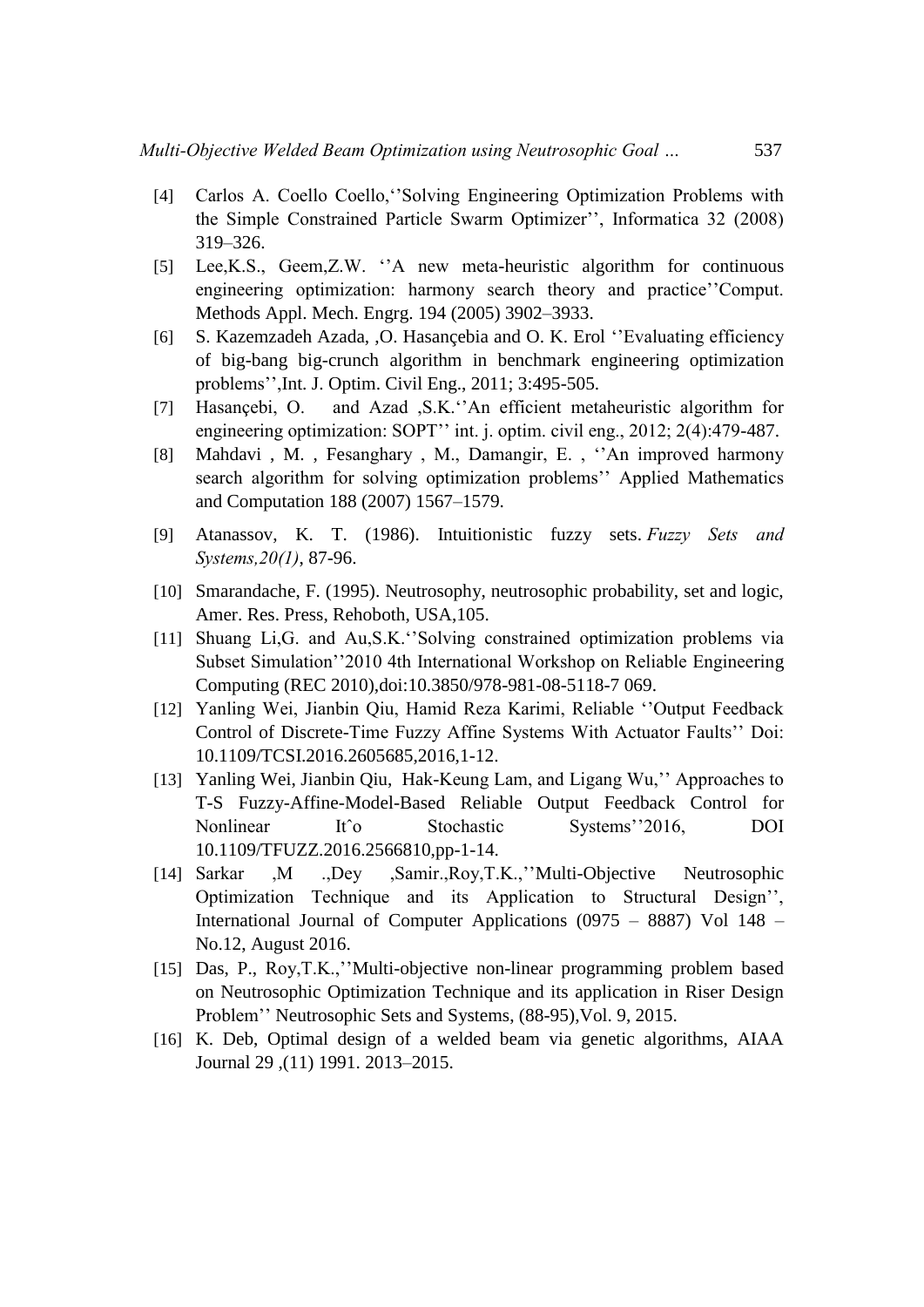- [4] Carlos A. Coello Coello,''Solving Engineering Optimization Problems with the Simple Constrained Particle Swarm Optimizer'', Informatica 32 (2008) 319–326.
- [5] Lee,K.S., Geem,Z.W. ''A new meta-heuristic algorithm for continuous engineering optimization: harmony search theory and practice''Comput. Methods Appl. Mech. Engrg. 194 (2005) 3902–3933.
- [6] S. Kazemzadeh Azada, ,O. Hasançebia and O. K. Erol ''Evaluating efficiency of big-bang big-crunch algorithm in benchmark engineering optimization problems'',Int. J. Optim. Civil Eng., 2011; 3:495-505.
- [7] Hasançebi, O. and Azad ,S.K.''An efficient metaheuristic algorithm for engineering optimization: SOPT'' int. j. optim. civil eng., 2012; 2(4):479-487.
- [8] Mahdavi , M. , Fesanghary , M., Damangir, E. , ''An improved harmony search algorithm for solving optimization problems'' Applied Mathematics and Computation 188 (2007) 1567–1579.
- [9] Atanassov, K. T. (1986). Intuitionistic fuzzy sets. *Fuzzy Sets and Systems,20(1)*, 87-96.
- [10] Smarandache, F. (1995). Neutrosophy, neutrosophic probability, set and logic, Amer. Res. Press, Rehoboth, USA,105.
- [11] Shuang Li,G. and Au,S.K.''Solving constrained optimization problems via Subset Simulation''2010 4th International Workshop on Reliable Engineering Computing (REC 2010),doi:10.3850/978-981-08-5118-7 069.
- [12] Yanling Wei, Jianbin Qiu, Hamid Reza Karimi, Reliable ''Output Feedback Control of Discrete-Time Fuzzy Affine Systems With Actuator Faults'' Doi: 10.1109/TCSI.2016.2605685,2016,1-12.
- [13] Yanling Wei, Jianbin Qiu, Hak-Keung Lam, and Ligang Wu," Approaches to T-S Fuzzy-Affine-Model-Based Reliable Output Feedback Control for Nonlinear It^o Stochastic Systems''2016, DOI 10.1109/TFUZZ.2016.2566810,pp-1-14.
- [14] Sarkar ,M .,Dey ,Samir.,Roy,T.K.,''Multi-Objective Neutrosophic Optimization Technique and its Application to Structural Design'', International Journal of Computer Applications (0975 – 8887) Vol 148 – No.12, August 2016.
- [15] Das, P., Roy,T.K.,''Multi-objective non-linear programming problem based on Neutrosophic Optimization Technique and its application in Riser Design Problem'' Neutrosophic Sets and Systems, (88-95),Vol. 9, 2015.
- [16] K. Deb, Optimal design of a welded beam via genetic algorithms, AIAA Journal 29 ,(11) 1991. 2013–2015.